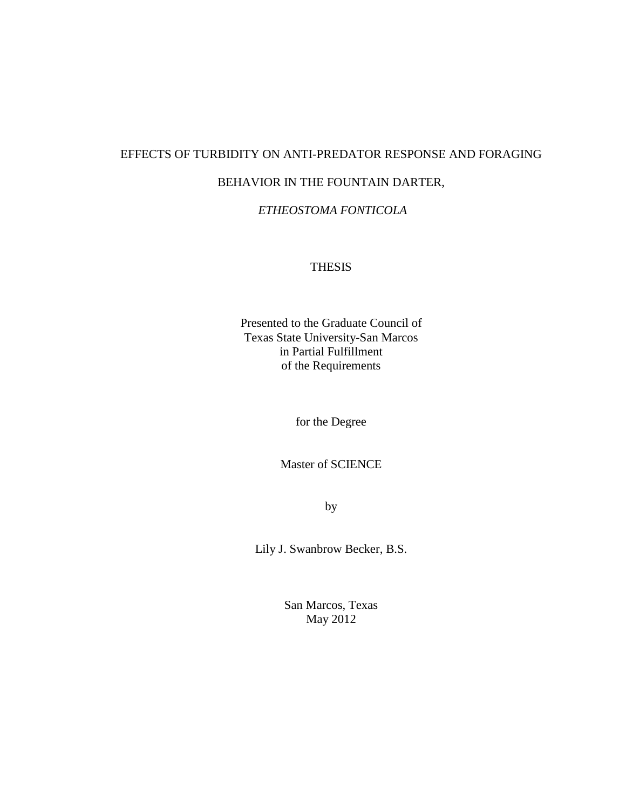## EFFECTS OF TURBIDITY ON ANTI-PREDATOR RESPONSE AND FORAGING

## BEHAVIOR IN THE FOUNTAIN DARTER,

## *ETHEOSTOMA FONTICOLA*

#### THESIS

Presented to the Graduate Council of Texas State University-San Marcos in Partial Fulfillment of the Requirements

for the Degree

Master of SCIENCE

by

Lily J. Swanbrow Becker, B.S.

San Marcos, Texas May 2012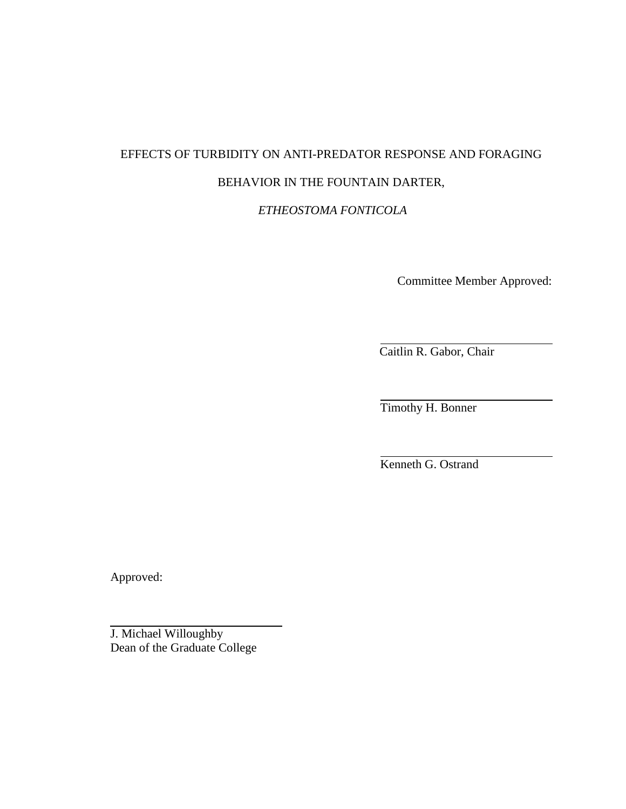# EFFECTS OF TURBIDITY ON ANTI-PREDATOR RESPONSE AND FORAGING BEHAVIOR IN THE FOUNTAIN DARTER,

*ETHEOSTOMA FONTICOLA*

Committee Member Approved:

Caitlin R. Gabor, Chair

Timothy H. Bonner

Kenneth G. Ostrand

Approved:

J. Michael Willoughby Dean of the Graduate College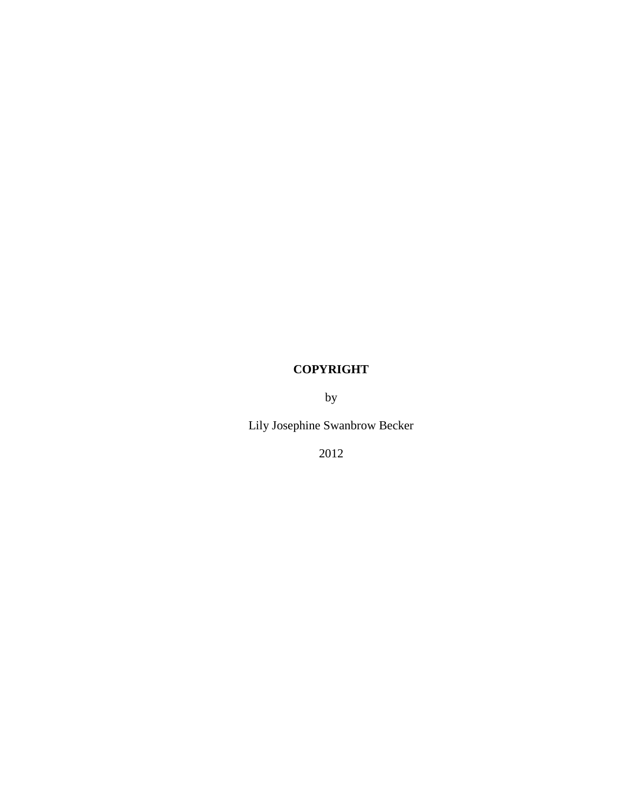## **COPYRIGHT**

by

Lily Josephine Swanbrow Becker

2012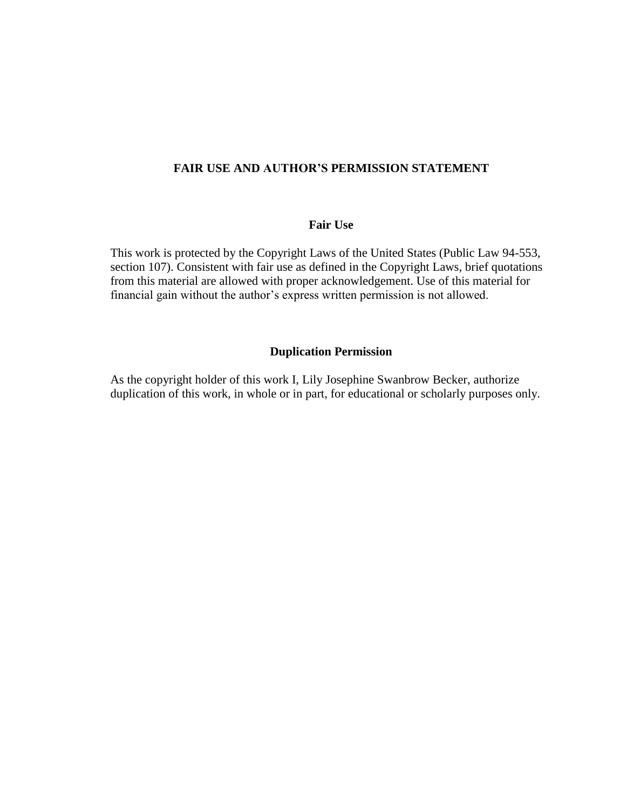### **FAIR USE AND AUTHOR'S PERMISSION STATEMENT**

#### **Fair Use**

This work is protected by the Copyright Laws of the United States (Public Law 94-553, section 107). Consistent with fair use as defined in the Copyright Laws, brief quotations from this material are allowed with proper acknowledgement. Use of this material for financial gain without the author's express written permission is not allowed.

## **Duplication Permission**

As the copyright holder of this work I, Lily Josephine Swanbrow Becker, authorize duplication of this work, in whole or in part, for educational or scholarly purposes only.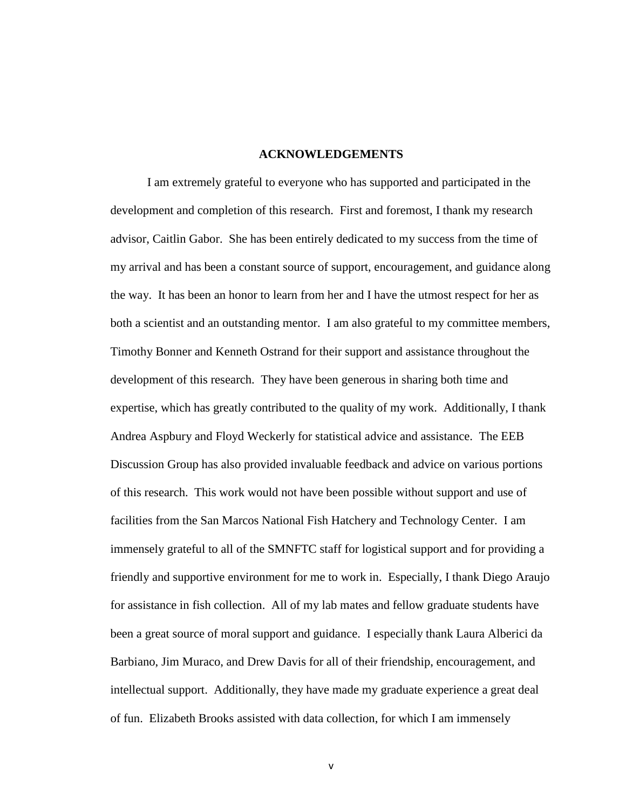#### **ACKNOWLEDGEMENTS**

I am extremely grateful to everyone who has supported and participated in the development and completion of this research. First and foremost, I thank my research advisor, Caitlin Gabor. She has been entirely dedicated to my success from the time of my arrival and has been a constant source of support, encouragement, and guidance along the way. It has been an honor to learn from her and I have the utmost respect for her as both a scientist and an outstanding mentor. I am also grateful to my committee members, Timothy Bonner and Kenneth Ostrand for their support and assistance throughout the development of this research. They have been generous in sharing both time and expertise, which has greatly contributed to the quality of my work. Additionally, I thank Andrea Aspbury and Floyd Weckerly for statistical advice and assistance. The EEB Discussion Group has also provided invaluable feedback and advice on various portions of this research. This work would not have been possible without support and use of facilities from the San Marcos National Fish Hatchery and Technology Center. I am immensely grateful to all of the SMNFTC staff for logistical support and for providing a friendly and supportive environment for me to work in. Especially, I thank Diego Araujo for assistance in fish collection. All of my lab mates and fellow graduate students have been a great source of moral support and guidance. I especially thank Laura Alberici da Barbiano, Jim Muraco, and Drew Davis for all of their friendship, encouragement, and intellectual support. Additionally, they have made my graduate experience a great deal of fun. Elizabeth Brooks assisted with data collection, for which I am immensely

v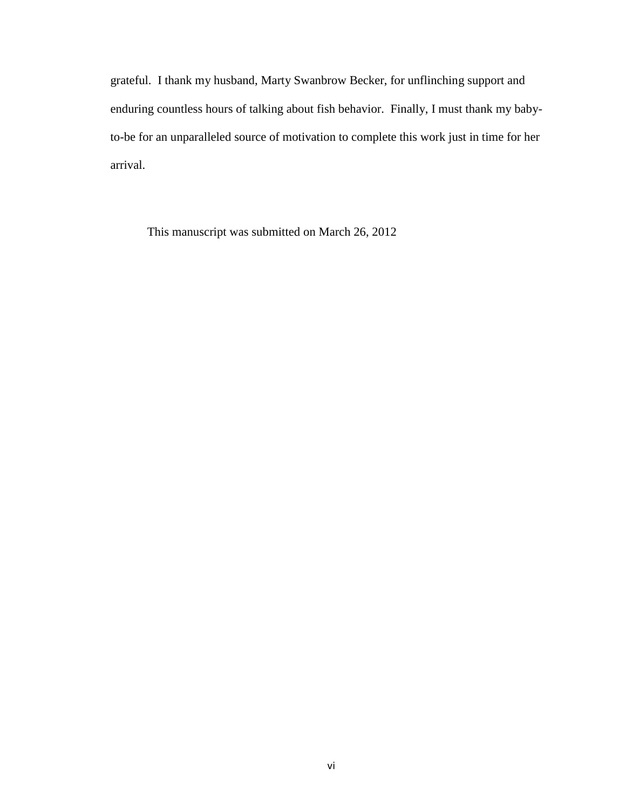grateful. I thank my husband, Marty Swanbrow Becker, for unflinching support and enduring countless hours of talking about fish behavior. Finally, I must thank my babyto-be for an unparalleled source of motivation to complete this work just in time for her arrival.

This manuscript was submitted on March 26, 2012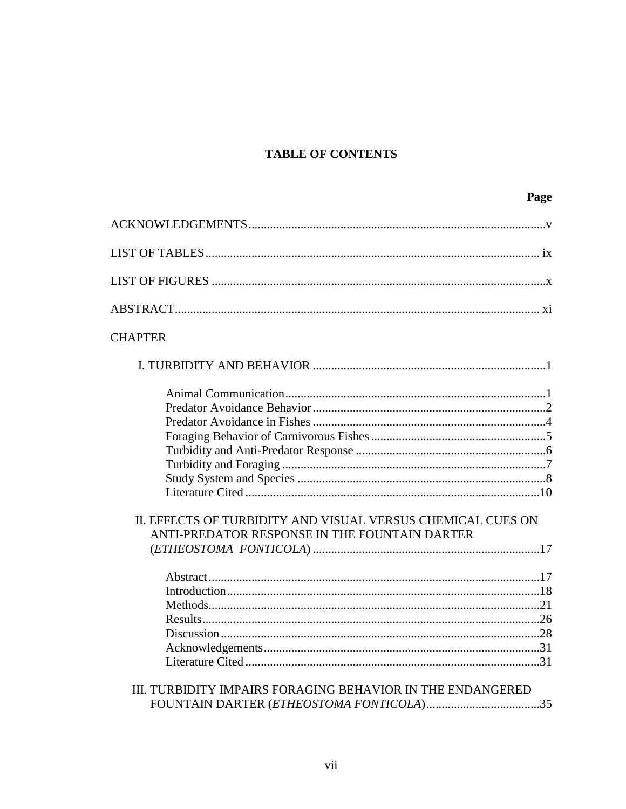# **TABLE OF CONTENTS**

| <b>CHAPTER</b>                                                                                               |
|--------------------------------------------------------------------------------------------------------------|
|                                                                                                              |
| II. EFFECTS OF TURBIDITY AND VISUAL VERSUS CHEMICAL CUES ON<br>ANTI-PREDATOR RESPONSE IN THE FOUNTAIN DARTER |
|                                                                                                              |
|                                                                                                              |
| III. TURBIDITY IMPAIRS FORAGING BEHAVIOR IN THE ENDANGERED                                                   |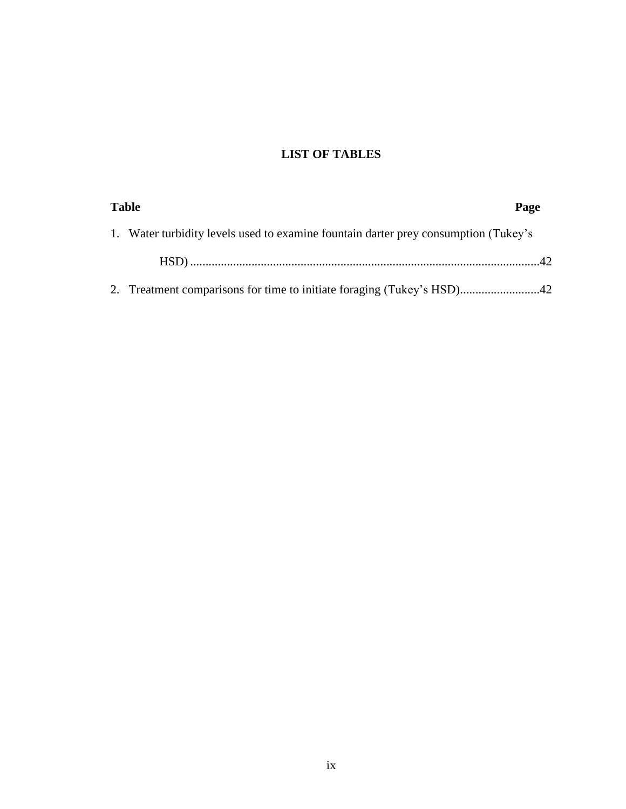# **LIST OF TABLES**

| <b>Table</b> |                                                                                     | Page |  |
|--------------|-------------------------------------------------------------------------------------|------|--|
|              | 1. Water turbidity levels used to examine fountain darter prey consumption (Tukey's |      |  |
|              |                                                                                     |      |  |
|              |                                                                                     |      |  |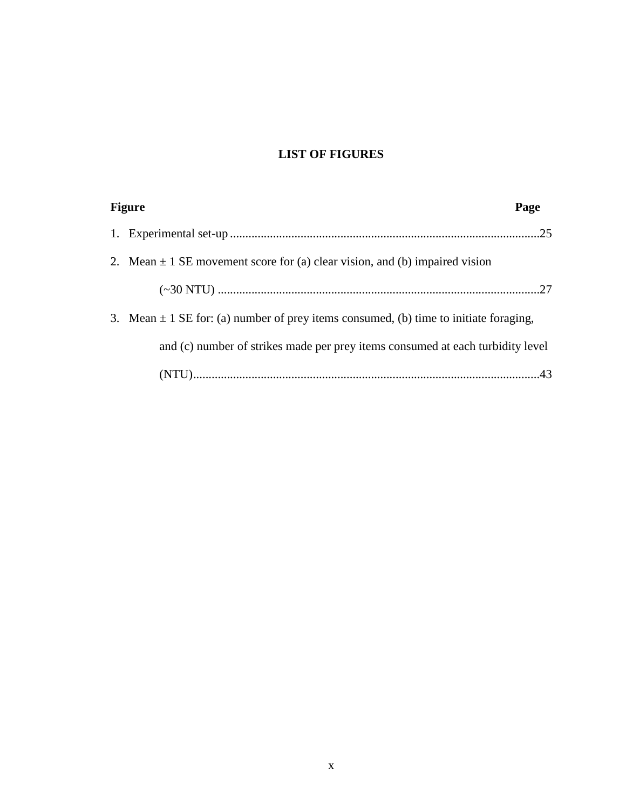# **LIST OF FIGURES**

| <b>Figure</b>                                                                             | Page |
|-------------------------------------------------------------------------------------------|------|
|                                                                                           |      |
| 2. Mean $\pm$ 1 SE movement score for (a) clear vision, and (b) impaired vision           |      |
|                                                                                           |      |
| 3. Mean $\pm$ 1 SE for: (a) number of prey items consumed, (b) time to initiate foraging, |      |
| and (c) number of strikes made per prey items consumed at each turbidity level            |      |
|                                                                                           |      |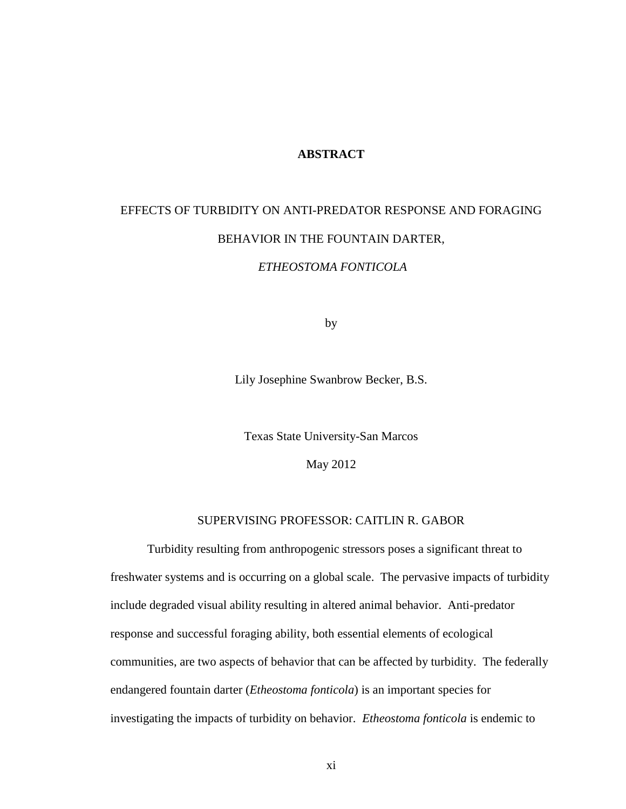#### **ABSTRACT**

# EFFECTS OF TURBIDITY ON ANTI-PREDATOR RESPONSE AND FORAGING BEHAVIOR IN THE FOUNTAIN DARTER, *ETHEOSTOMA FONTICOLA*

by

Lily Josephine Swanbrow Becker, B.S.

Texas State University-San Marcos

May 2012

#### SUPERVISING PROFESSOR: CAITLIN R. GABOR

Turbidity resulting from anthropogenic stressors poses a significant threat to freshwater systems and is occurring on a global scale. The pervasive impacts of turbidity include degraded visual ability resulting in altered animal behavior. Anti-predator response and successful foraging ability, both essential elements of ecological communities, are two aspects of behavior that can be affected by turbidity. The federally endangered fountain darter (*Etheostoma fonticola*) is an important species for investigating the impacts of turbidity on behavior. *Etheostoma fonticola* is endemic to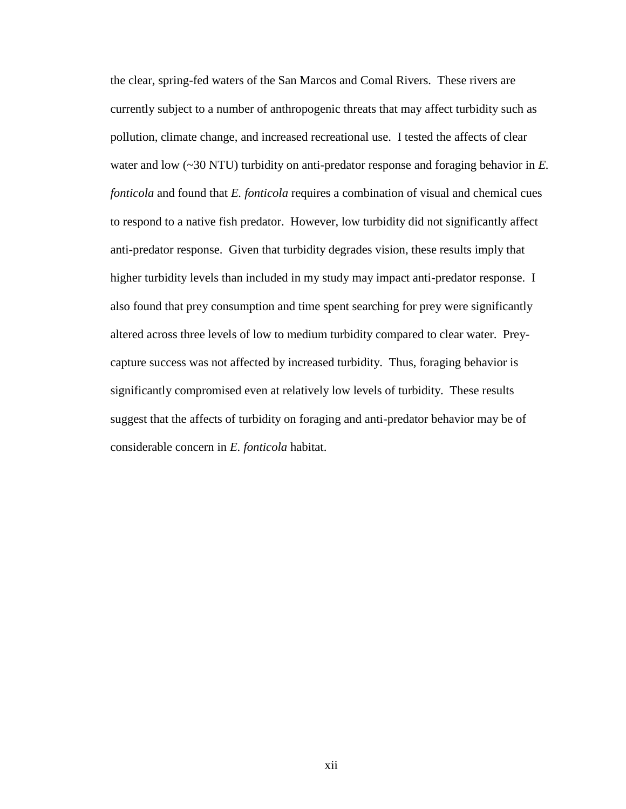the clear, spring-fed waters of the San Marcos and Comal Rivers. These rivers are currently subject to a number of anthropogenic threats that may affect turbidity such as pollution, climate change, and increased recreational use. I tested the affects of clear water and low (~30 NTU) turbidity on anti-predator response and foraging behavior in *E. fonticola* and found that *E. fonticola* requires a combination of visual and chemical cues to respond to a native fish predator. However, low turbidity did not significantly affect anti-predator response. Given that turbidity degrades vision, these results imply that higher turbidity levels than included in my study may impact anti-predator response. I also found that prey consumption and time spent searching for prey were significantly altered across three levels of low to medium turbidity compared to clear water. Preycapture success was not affected by increased turbidity. Thus, foraging behavior is significantly compromised even at relatively low levels of turbidity. These results suggest that the affects of turbidity on foraging and anti-predator behavior may be of considerable concern in *E. fonticola* habitat.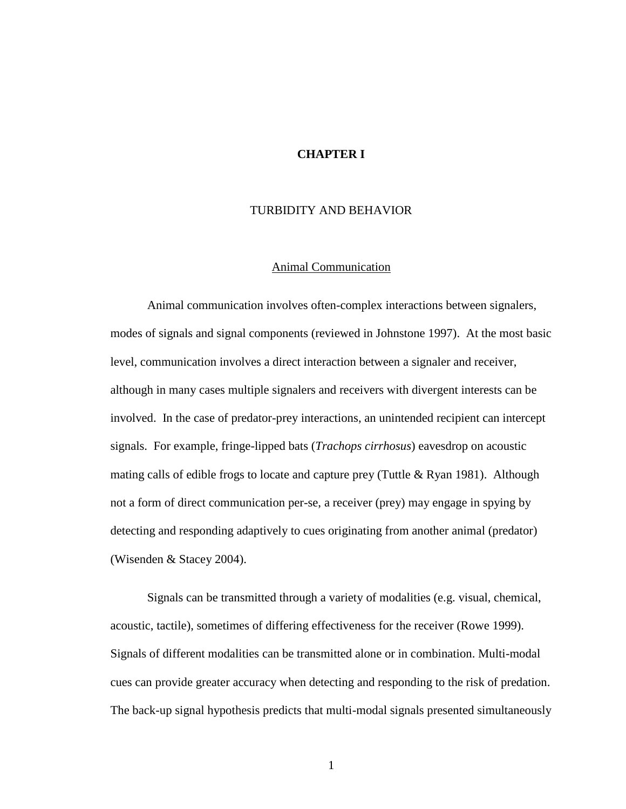#### **CHAPTER I**

#### TURBIDITY AND BEHAVIOR

#### Animal Communication

Animal communication involves often-complex interactions between signalers, modes of signals and signal components (reviewed in Johnstone 1997). At the most basic level, communication involves a direct interaction between a signaler and receiver, although in many cases multiple signalers and receivers with divergent interests can be involved. In the case of predator-prey interactions, an unintended recipient can intercept signals. For example, fringe-lipped bats (*Trachops cirrhosus*) eavesdrop on acoustic mating calls of edible frogs to locate and capture prey (Tuttle  $& R$ yan 1981). Although not a form of direct communication per-se, a receiver (prey) may engage in spying by detecting and responding adaptively to cues originating from another animal (predator) (Wisenden & Stacey 2004).

Signals can be transmitted through a variety of modalities (e.g. visual, chemical, acoustic, tactile), sometimes of differing effectiveness for the receiver (Rowe 1999). Signals of different modalities can be transmitted alone or in combination. Multi-modal cues can provide greater accuracy when detecting and responding to the risk of predation. The back-up signal hypothesis predicts that multi-modal signals presented simultaneously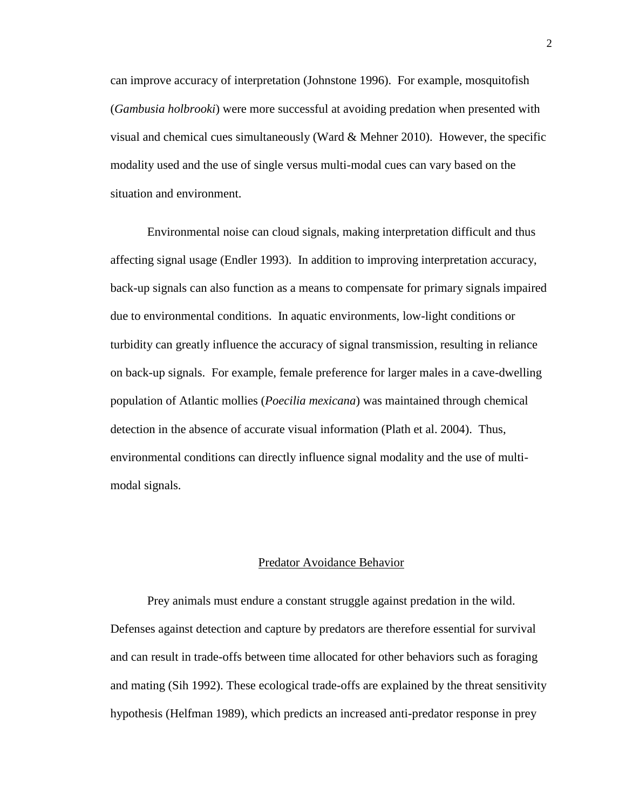can improve accuracy of interpretation (Johnstone 1996). For example, mosquitofish (*Gambusia holbrooki*) were more successful at avoiding predation when presented with visual and chemical cues simultaneously (Ward  $\&$  Mehner 2010). However, the specific modality used and the use of single versus multi-modal cues can vary based on the situation and environment.

Environmental noise can cloud signals, making interpretation difficult and thus affecting signal usage (Endler 1993). In addition to improving interpretation accuracy, back-up signals can also function as a means to compensate for primary signals impaired due to environmental conditions. In aquatic environments, low-light conditions or turbidity can greatly influence the accuracy of signal transmission, resulting in reliance on back-up signals. For example, female preference for larger males in a cave-dwelling population of Atlantic mollies (*Poecilia mexicana*) was maintained through chemical detection in the absence of accurate visual information (Plath et al. 2004). Thus, environmental conditions can directly influence signal modality and the use of multimodal signals.

#### Predator Avoidance Behavior

Prey animals must endure a constant struggle against predation in the wild. Defenses against detection and capture by predators are therefore essential for survival and can result in trade-offs between time allocated for other behaviors such as foraging and mating (Sih 1992). These ecological trade-offs are explained by the threat sensitivity hypothesis (Helfman 1989), which predicts an increased anti-predator response in prey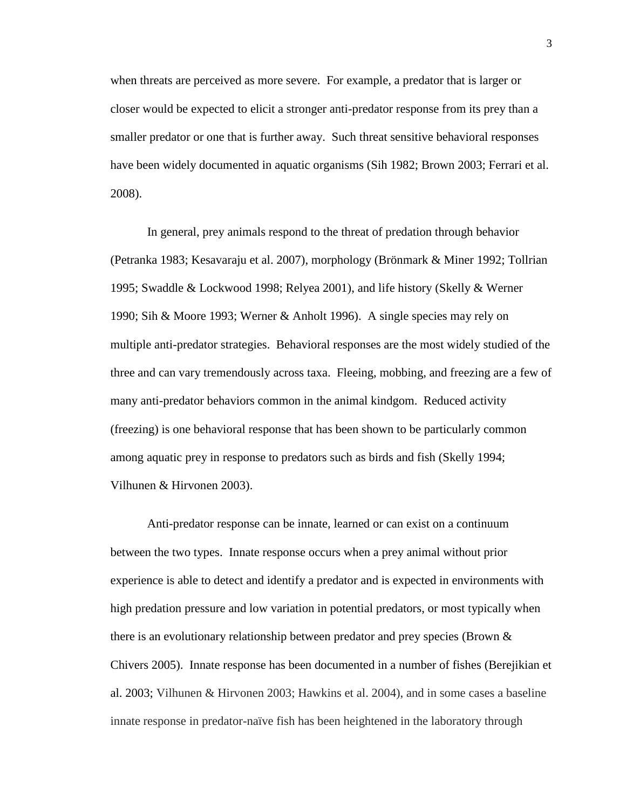when threats are perceived as more severe. For example, a predator that is larger or closer would be expected to elicit a stronger anti-predator response from its prey than a smaller predator or one that is further away. Such threat sensitive behavioral responses have been widely documented in aquatic organisms (Sih 1982; Brown 2003; Ferrari et al. 2008).

In general, prey animals respond to the threat of predation through behavior (Petranka 1983; Kesavaraju et al. 2007), morphology (Brönmark & Miner 1992; Tollrian 1995; Swaddle & Lockwood 1998; Relyea 2001), and life history (Skelly & Werner 1990; Sih & Moore 1993; Werner & Anholt 1996). A single species may rely on multiple anti-predator strategies. Behavioral responses are the most widely studied of the three and can vary tremendously across taxa. Fleeing, mobbing, and freezing are a few of many anti-predator behaviors common in the animal kindgom. Reduced activity (freezing) is one behavioral response that has been shown to be particularly common among aquatic prey in response to predators such as birds and fish (Skelly 1994; Vilhunen & Hirvonen 2003).

Anti-predator response can be innate, learned or can exist on a continuum between the two types. Innate response occurs when a prey animal without prior experience is able to detect and identify a predator and is expected in environments with high predation pressure and low variation in potential predators, or most typically when there is an evolutionary relationship between predator and prey species (Brown & Chivers 2005). Innate response has been documented in a number of fishes (Berejikian et al. 2003; Vilhunen & Hirvonen 2003; Hawkins et al. 2004), and in some cases a baseline innate response in predator-naïve fish has been heightened in the laboratory through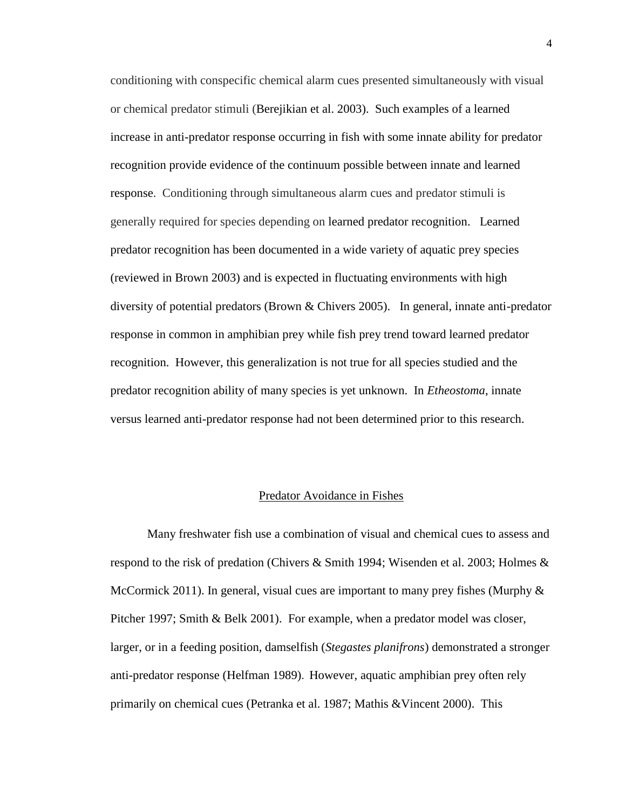conditioning with conspecific chemical alarm cues presented simultaneously with visual or chemical predator stimuli (Berejikian et al. 2003). Such examples of a learned increase in anti-predator response occurring in fish with some innate ability for predator recognition provide evidence of the continuum possible between innate and learned response. Conditioning through simultaneous alarm cues and predator stimuli is generally required for species depending on learned predator recognition. Learned predator recognition has been documented in a wide variety of aquatic prey species (reviewed in Brown 2003) and is expected in fluctuating environments with high diversity of potential predators (Brown & Chivers 2005). In general, innate anti-predator response in common in amphibian prey while fish prey trend toward learned predator recognition. However, this generalization is not true for all species studied and the predator recognition ability of many species is yet unknown. In *Etheostoma*, innate versus learned anti-predator response had not been determined prior to this research.

#### Predator Avoidance in Fishes

Many freshwater fish use a combination of visual and chemical cues to assess and respond to the risk of predation (Chivers & Smith 1994; Wisenden et al. 2003; Holmes  $\&$ McCormick 2011). In general, visual cues are important to many prey fishes (Murphy  $\&$ Pitcher 1997; Smith & Belk 2001). For example, when a predator model was closer, larger, or in a feeding position, damselfish (*Stegastes planifrons*) demonstrated a stronger anti-predator response (Helfman 1989). However, aquatic amphibian prey often rely primarily on chemical cues (Petranka et al. 1987; Mathis &Vincent 2000). This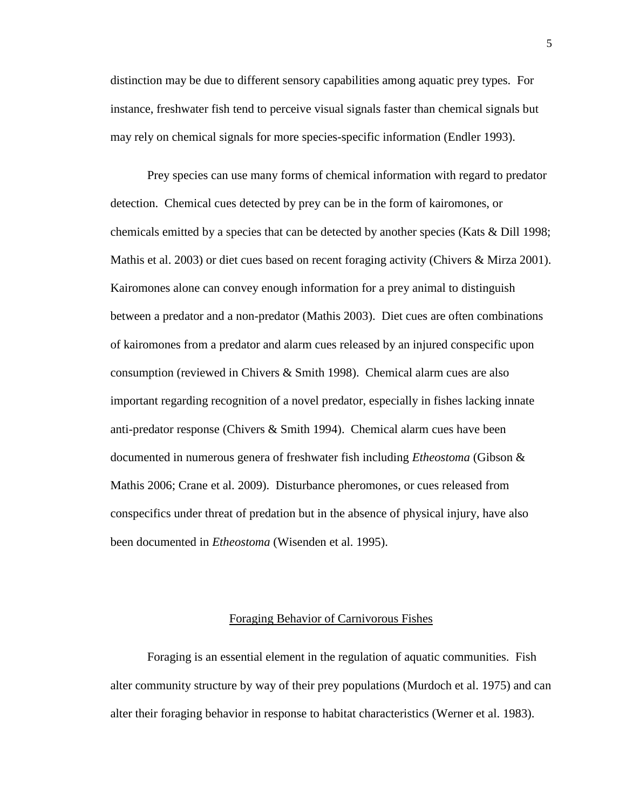distinction may be due to different sensory capabilities among aquatic prey types. For instance, freshwater fish tend to perceive visual signals faster than chemical signals but may rely on chemical signals for more species-specific information (Endler 1993).

Prey species can use many forms of chemical information with regard to predator detection. Chemical cues detected by prey can be in the form of kairomones, or chemicals emitted by a species that can be detected by another species (Kats & Dill 1998; Mathis et al. 2003) or diet cues based on recent foraging activity (Chivers & Mirza 2001). Kairomones alone can convey enough information for a prey animal to distinguish between a predator and a non-predator (Mathis 2003). Diet cues are often combinations of kairomones from a predator and alarm cues released by an injured conspecific upon consumption (reviewed in Chivers & Smith 1998). Chemical alarm cues are also important regarding recognition of a novel predator, especially in fishes lacking innate anti-predator response (Chivers & Smith 1994). Chemical alarm cues have been documented in numerous genera of freshwater fish including *Etheostoma* (Gibson & Mathis 2006; Crane et al. 2009). Disturbance pheromones, or cues released from conspecifics under threat of predation but in the absence of physical injury, have also been documented in *Etheostoma* (Wisenden et al. 1995).

#### Foraging Behavior of Carnivorous Fishes

Foraging is an essential element in the regulation of aquatic communities. Fish alter community structure by way of their prey populations (Murdoch et al. 1975) and can alter their foraging behavior in response to habitat characteristics (Werner et al. 1983).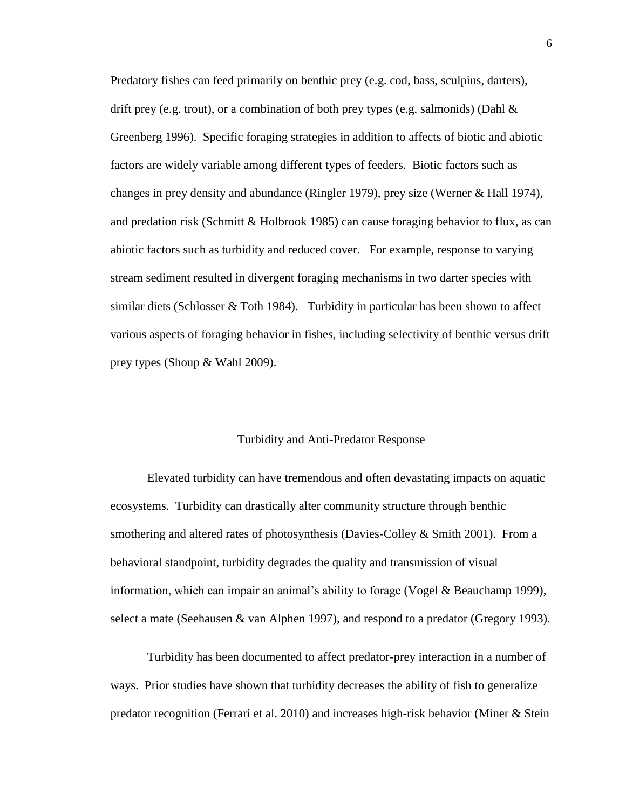Predatory fishes can feed primarily on benthic prey (e.g. cod, bass, sculpins, darters), drift prey (e.g. trout), or a combination of both prey types (e.g. salmonids) (Dahl & Greenberg 1996). Specific foraging strategies in addition to affects of biotic and abiotic factors are widely variable among different types of feeders. Biotic factors such as changes in prey density and abundance (Ringler 1979), prey size (Werner & Hall 1974), and predation risk (Schmitt & Holbrook 1985) can cause foraging behavior to flux, as can abiotic factors such as turbidity and reduced cover. For example, response to varying stream sediment resulted in divergent foraging mechanisms in two darter species with similar diets (Schlosser  $&$  Toth 1984). Turbidity in particular has been shown to affect various aspects of foraging behavior in fishes, including selectivity of benthic versus drift prey types (Shoup & Wahl 2009).

#### Turbidity and Anti-Predator Response

Elevated turbidity can have tremendous and often devastating impacts on aquatic ecosystems. Turbidity can drastically alter community structure through benthic smothering and altered rates of photosynthesis (Davies-Colley & Smith 2001). From a behavioral standpoint, turbidity degrades the quality and transmission of visual information, which can impair an animal's ability to forage (Vogel & Beauchamp 1999), select a mate (Seehausen & van Alphen 1997), and respond to a predator (Gregory 1993).

Turbidity has been documented to affect predator-prey interaction in a number of ways. Prior studies have shown that turbidity decreases the ability of fish to generalize predator recognition (Ferrari et al. 2010) and increases high-risk behavior (Miner & Stein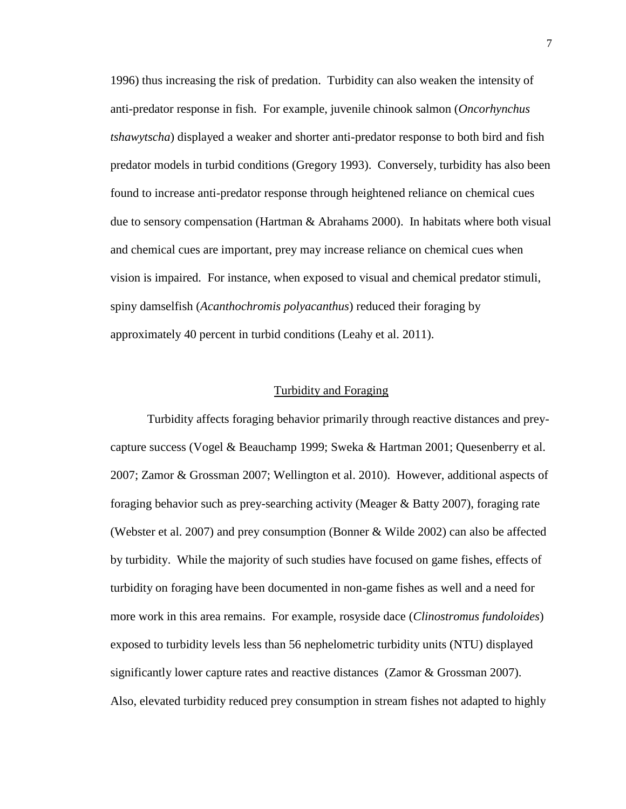1996) thus increasing the risk of predation. Turbidity can also weaken the intensity of anti-predator response in fish. For example, juvenile chinook salmon (*Oncorhynchus tshawytscha*) displayed a weaker and shorter anti-predator response to both bird and fish predator models in turbid conditions (Gregory 1993). Conversely, turbidity has also been found to increase anti-predator response through heightened reliance on chemical cues due to sensory compensation (Hartman & Abrahams 2000). In habitats where both visual and chemical cues are important, prey may increase reliance on chemical cues when vision is impaired. For instance, when exposed to visual and chemical predator stimuli, spiny damselfish (*Acanthochromis polyacanthus*) reduced their foraging by approximately 40 percent in turbid conditions (Leahy et al. 2011).

#### Turbidity and Foraging

Turbidity affects foraging behavior primarily through reactive distances and preycapture success (Vogel & Beauchamp 1999; Sweka & Hartman 2001; Quesenberry et al. 2007; Zamor & Grossman 2007; Wellington et al. 2010). However, additional aspects of foraging behavior such as prey-searching activity (Meager & Batty 2007), foraging rate (Webster et al. 2007) and prey consumption (Bonner & Wilde 2002) can also be affected by turbidity. While the majority of such studies have focused on game fishes, effects of turbidity on foraging have been documented in non-game fishes as well and a need for more work in this area remains. For example, rosyside dace (*Clinostromus fundoloides*) exposed to turbidity levels less than 56 nephelometric turbidity units (NTU) displayed significantly lower capture rates and reactive distances (Zamor & Grossman 2007). Also, elevated turbidity reduced prey consumption in stream fishes not adapted to highly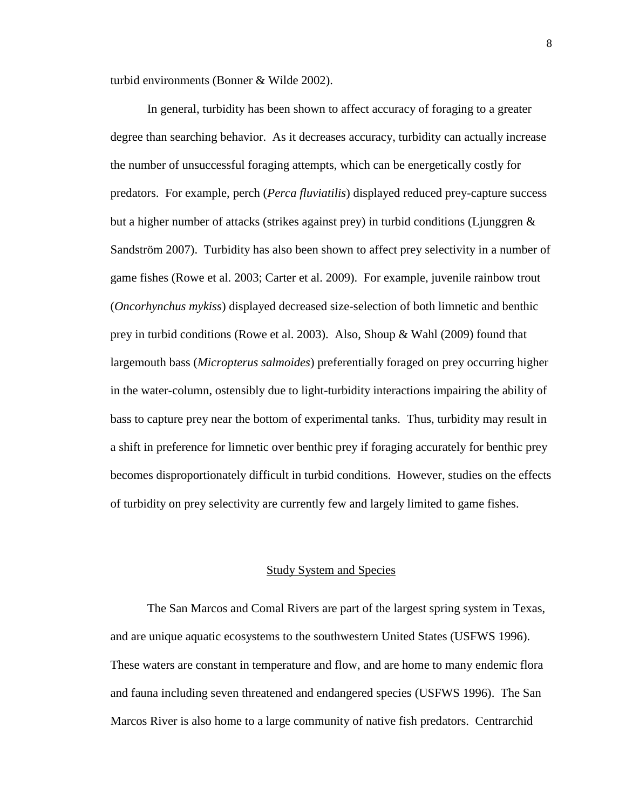turbid environments (Bonner & Wilde 2002).

In general, turbidity has been shown to affect accuracy of foraging to a greater degree than searching behavior. As it decreases accuracy, turbidity can actually increase the number of unsuccessful foraging attempts, which can be energetically costly for predators. For example, perch (*Perca fluviatilis*) displayed reduced prey-capture success but a higher number of attacks (strikes against prey) in turbid conditions (Ljunggren & Sandström 2007). Turbidity has also been shown to affect prey selectivity in a number of game fishes (Rowe et al. 2003; Carter et al. 2009). For example, juvenile rainbow trout (*Oncorhynchus mykiss*) displayed decreased size-selection of both limnetic and benthic prey in turbid conditions (Rowe et al. 2003). Also, Shoup & Wahl (2009) found that largemouth bass (*Micropterus salmoides*) preferentially foraged on prey occurring higher in the water-column, ostensibly due to light-turbidity interactions impairing the ability of bass to capture prey near the bottom of experimental tanks. Thus, turbidity may result in a shift in preference for limnetic over benthic prey if foraging accurately for benthic prey becomes disproportionately difficult in turbid conditions. However, studies on the effects of turbidity on prey selectivity are currently few and largely limited to game fishes.

#### Study System and Species

The San Marcos and Comal Rivers are part of the largest spring system in Texas, and are unique aquatic ecosystems to the southwestern United States (USFWS 1996). These waters are constant in temperature and flow, and are home to many endemic flora and fauna including seven threatened and endangered species (USFWS 1996). The San Marcos River is also home to a large community of native fish predators. Centrarchid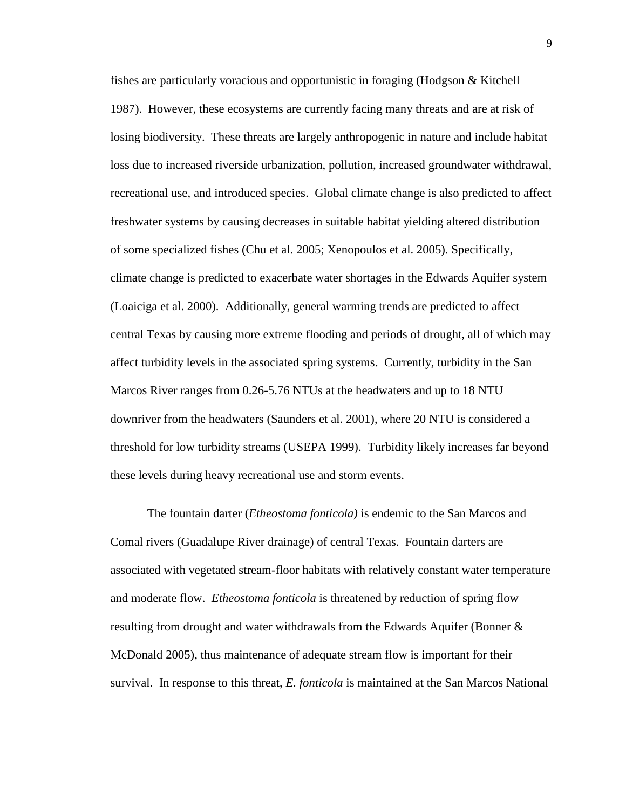fishes are particularly voracious and opportunistic in foraging (Hodgson & Kitchell 1987). However, these ecosystems are currently facing many threats and are at risk of losing biodiversity. These threats are largely anthropogenic in nature and include habitat loss due to increased riverside urbanization, pollution, increased groundwater withdrawal, recreational use, and introduced species. Global climate change is also predicted to affect freshwater systems by causing decreases in suitable habitat yielding altered distribution of some specialized fishes (Chu et al. 2005; Xenopoulos et al. 2005). Specifically, climate change is predicted to exacerbate water shortages in the Edwards Aquifer system (Loaiciga et al. 2000). Additionally, general warming trends are predicted to affect central Texas by causing more extreme flooding and periods of drought, all of which may affect turbidity levels in the associated spring systems. Currently, turbidity in the San Marcos River ranges from 0.26-5.76 NTUs at the headwaters and up to 18 NTU downriver from the headwaters (Saunders et al. 2001), where 20 NTU is considered a threshold for low turbidity streams (USEPA 1999). Turbidity likely increases far beyond these levels during heavy recreational use and storm events.

The fountain darter (*Etheostoma fonticola)* is endemic to the San Marcos and Comal rivers (Guadalupe River drainage) of central Texas. Fountain darters are associated with vegetated stream-floor habitats with relatively constant water temperature and moderate flow. *Etheostoma fonticola* is threatened by reduction of spring flow resulting from drought and water withdrawals from the Edwards Aquifer (Bonner & McDonald 2005), thus maintenance of adequate stream flow is important for their survival. In response to this threat, *E. fonticola* is maintained at the San Marcos National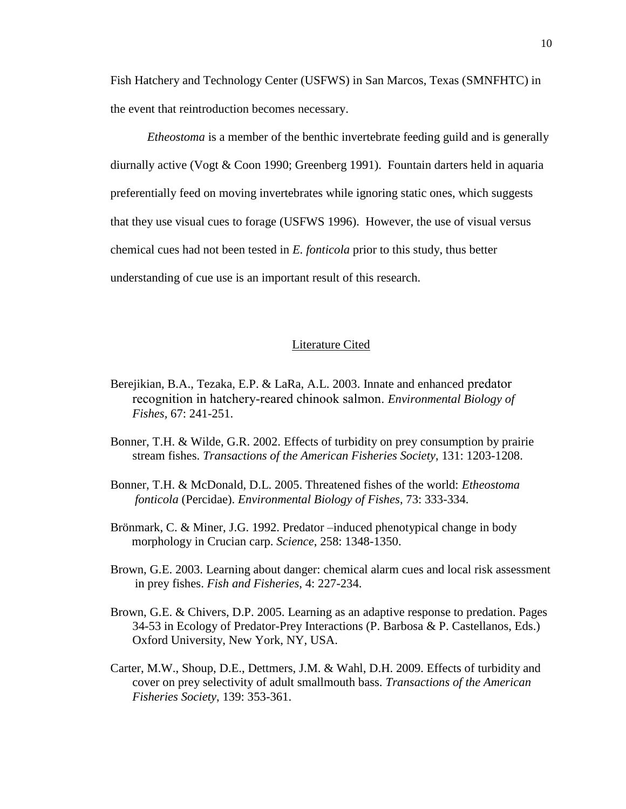Fish Hatchery and Technology Center (USFWS) in San Marcos, Texas (SMNFHTC) in the event that reintroduction becomes necessary.

*Etheostoma* is a member of the benthic invertebrate feeding guild and is generally diurnally active (Vogt & Coon 1990; Greenberg 1991). Fountain darters held in aquaria preferentially feed on moving invertebrates while ignoring static ones, which suggests that they use visual cues to forage (USFWS 1996). However, the use of visual versus chemical cues had not been tested in *E. fonticola* prior to this study, thus better understanding of cue use is an important result of this research.

#### Literature Cited

- Berejikian, B.A., Tezaka, E.P. & LaRa, A.L. 2003. Innate and enhanced predator recognition in hatchery-reared chinook salmon. *Environmental Biology of Fishes,* 67: 241-251.
- Bonner, T.H. & Wilde, G.R. 2002. Effects of turbidity on prey consumption by prairie stream fishes. *Transactions of the American Fisheries Society*, 131: 1203-1208.
- Bonner, T.H. & McDonald, D.L. 2005. Threatened fishes of the world: *Etheostoma fonticola* (Percidae). *Environmental Biology of Fishes*, 73: 333-334.
- Brönmark, C. & Miner, J.G. 1992. Predator –induced phenotypical change in body morphology in Crucian carp. *Science*, 258: 1348-1350.
- Brown, G.E. 2003. Learning about danger: chemical alarm cues and local risk assessment in prey fishes. *Fish and Fisheries*, 4: 227-234.
- Brown, G.E. & Chivers, D.P. 2005. Learning as an adaptive response to predation. Pages 34-53 in Ecology of Predator-Prey Interactions (P. Barbosa & P. Castellanos, Eds.) Oxford University, New York, NY, USA.
- Carter, M.W., Shoup, D.E., Dettmers, J.M. & Wahl, D.H. 2009. Effects of turbidity and cover on prey selectivity of adult smallmouth bass. *Transactions of the American Fisheries Society*, 139: 353-361.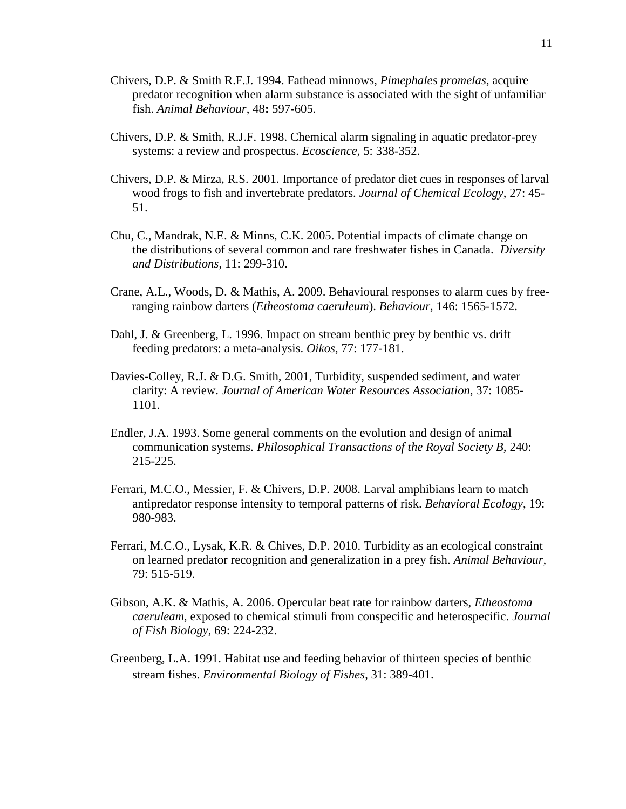- Chivers, D.P. & Smith R.F.J. 1994. Fathead minnows, *Pimephales promelas*, acquire predator recognition when alarm substance is associated with the sight of unfamiliar fish. *Animal Behaviour*, 48**:** 597-605.
- Chivers, D.P. & Smith, R.J.F. 1998. Chemical alarm signaling in aquatic predator-prey systems: a review and prospectus. *Ecoscience*, 5: 338-352.
- Chivers, D.P. & Mirza, R.S. 2001. Importance of predator diet cues in responses of larval wood frogs to fish and invertebrate predators. *Journal of Chemical Ecology*, 27: 45- 51.
- Chu, C., Mandrak, N.E. & Minns, C.K. 2005. Potential impacts of climate change on the distributions of several common and rare freshwater fishes in Canada. *Diversity and Distributions*, 11: 299-310.
- Crane, A.L., Woods, D. & Mathis, A. 2009. Behavioural responses to alarm cues by free ranging rainbow darters (*Etheostoma caeruleum*). *Behaviour*, 146: 1565-1572.
- Dahl, J. & Greenberg, L. 1996. Impact on stream benthic prey by benthic vs. drift feeding predators: a meta-analysis. *Oikos*, 77: 177-181.
- Davies-Colley, R.J. & D.G. Smith, 2001, Turbidity, suspended sediment, and water clarity: A review. *Journal of American Water Resources Association*, 37: 1085- 1101.
- Endler, J.A. 1993. Some general comments on the evolution and design of animal communication systems. *Philosophical Transactions of the Royal Society B,* 240: 215-225.
- Ferrari, M.C.O., Messier, F. & Chivers, D.P. 2008. Larval amphibians learn to match antipredator response intensity to temporal patterns of risk. *Behavioral Ecology*, 19: 980-983.
- Ferrari, M.C.O., Lysak, K.R. & Chives, D.P. 2010. Turbidity as an ecological constraint on learned predator recognition and generalization in a prey fish. *Animal Behaviour,*  79: 515-519.
- Gibson, A.K. & Mathis, A. 2006. Opercular beat rate for rainbow darters, *Etheostoma caeruleam*, exposed to chemical stimuli from conspecific and heterospecific. *Journal of Fish Biology*, 69: 224-232.
- Greenberg, L.A. 1991. Habitat use and feeding behavior of thirteen species of benthic stream fishes. *Environmental Biology of Fishes*, 31: 389-401.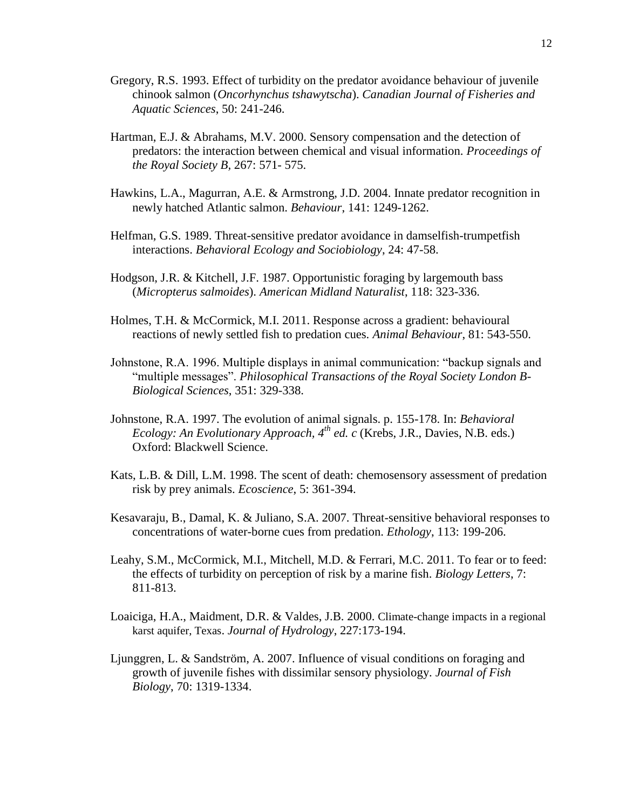- Gregory, R.S. 1993. Effect of turbidity on the predator avoidance behaviour of juvenile chinook salmon (*Oncorhynchus tshawytscha*). *Canadian Journal of Fisheries and Aquatic Sciences*, 50: 241-246.
- Hartman, E.J. & Abrahams, M.V. 2000. Sensory compensation and the detection of predators: the interaction between chemical and visual information. *Proceedings of the Royal Society B,* 267: 571- 575.
- Hawkins, L.A., Magurran, A.E. & Armstrong, J.D. 2004. Innate predator recognition in newly hatched Atlantic salmon. *Behaviour*, 141: 1249-1262.
- Helfman, G.S. 1989. Threat-sensitive predator avoidance in damselfish-trumpetfish interactions. *Behavioral Ecology and Sociobiology*, 24: 47-58.
- Hodgson, J.R. & Kitchell, J.F. 1987. Opportunistic foraging by largemouth bass (*Micropterus salmoides*). *American Midland Naturalist*, 118: 323-336.
- Holmes, T.H. & McCormick, M.I. 2011. Response across a gradient: behavioural reactions of newly settled fish to predation cues. *Animal Behaviour*, 81: 543-550.
- Johnstone, R.A. 1996. Multiple displays in animal communication: "backup signals and "multiple messages". *Philosophical Transactions of the Royal Society London B-Biological Sciences*, 351: 329-338.
- Johnstone, R.A. 1997. The evolution of animal signals. p. 155-178. In: *Behavioral Ecology: An Evolutionary Approach, 4th ed. c* (Krebs, J.R., Davies, N.B. eds.) Oxford: Blackwell Science.
- Kats, L.B. & Dill, L.M. 1998. The scent of death: chemosensory assessment of predation risk by prey animals. *Ecoscience*, 5: 361-394.
- Kesavaraju, B., Damal, K. & Juliano, S.A. 2007. Threat-sensitive behavioral responses to concentrations of water-borne cues from predation. *Ethology*, 113: 199-206.
- Leahy, S.M., McCormick, M.I., Mitchell, M.D. & Ferrari, M.C. 2011. To fear or to feed: the effects of turbidity on perception of risk by a marine fish. *Biology Letters*, 7: 811-813.
- Loaiciga, H.A., Maidment, D.R. & Valdes, J.B. 2000. Climate-change impacts in a regional karst aquifer, Texas. *Journal of Hydrology*, 227:173-194.
- Ljunggren, L. & Sandström, A. 2007. Influence of visual conditions on foraging and growth of juvenile fishes with dissimilar sensory physiology. *Journal of Fish Biology*, 70: 1319-1334.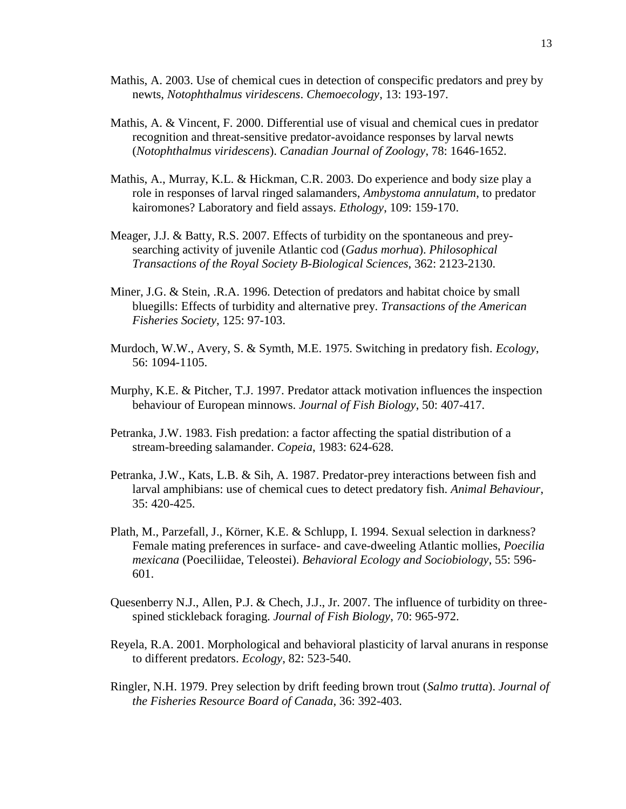- Mathis, A. 2003. Use of chemical cues in detection of conspecific predators and prey by newts, *Notophthalmus viridescens*. *Chemoecology*, 13: 193-197.
- Mathis, A. & Vincent, F. 2000. Differential use of visual and chemical cues in predator recognition and threat-sensitive predator-avoidance responses by larval newts (*Notophthalmus viridescens*). *Canadian Journal of Zoology*, 78: 1646-1652.
- Mathis, A., Murray, K.L. & Hickman, C.R. 2003. Do experience and body size play a role in responses of larval ringed salamanders, *Ambystoma annulatum*, to predator kairomones? Laboratory and field assays. *Ethology*, 109: 159-170.
- Meager, J.J. & Batty, R.S. 2007. Effects of turbidity on the spontaneous and preysearching activity of juvenile Atlantic cod (*Gadus morhua*). *Philosophical Transactions of the Royal Society B-Biological Sciences*, 362: 2123-2130.
- Miner, J.G. & Stein, .R.A. 1996. Detection of predators and habitat choice by small bluegills: Effects of turbidity and alternative prey. *Transactions of the American Fisheries Society*, 125: 97-103.
- Murdoch, W.W., Avery, S. & Symth, M.E. 1975. Switching in predatory fish. *Ecology*, 56: 1094-1105.
- Murphy, K.E. & Pitcher, T.J. 1997. Predator attack motivation influences the inspection behaviour of European minnows. *Journal of Fish Biology*, 50: 407-417.
- Petranka, J.W. 1983. Fish predation: a factor affecting the spatial distribution of a stream-breeding salamander. *Copeia*, 1983: 624-628.
- Petranka, J.W., Kats, L.B. & Sih, A. 1987. Predator-prey interactions between fish and larval amphibians: use of chemical cues to detect predatory fish. *Animal Behaviour*, 35: 420-425.
- Plath, M., Parzefall, J., Körner, K.E. & Schlupp, I. 1994. Sexual selection in darkness? Female mating preferences in surface- and cave-dweeling Atlantic mollies, *Poecilia mexicana* (Poeciliidae, Teleostei). *Behavioral Ecology and Sociobiology*, 55: 596- 601.
- Quesenberry N.J., Allen, P.J. & Chech, J.J., Jr. 2007. The influence of turbidity on threespined stickleback foraging. *Journal of Fish Biology*, 70: 965-972.
- Reyela, R.A. 2001. Morphological and behavioral plasticity of larval anurans in response to different predators. *Ecology*, 82: 523-540.
- Ringler, N.H. 1979. Prey selection by drift feeding brown trout (*Salmo trutta*). *Journal of the Fisheries Resource Board of Canada*, 36: 392-403.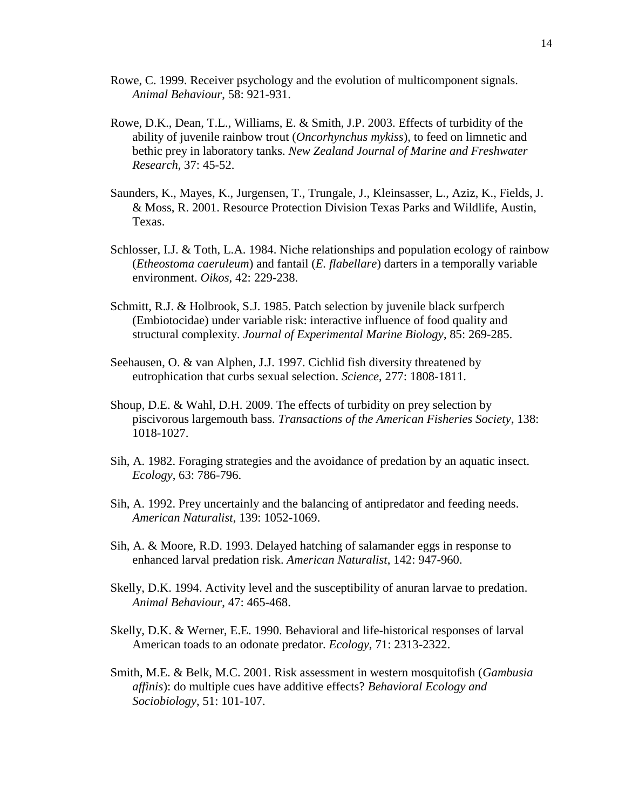- Rowe, C. 1999. Receiver psychology and the evolution of multicomponent signals. *Animal Behaviour*, 58: 921-931.
- Rowe, D.K., Dean, T.L., Williams, E. & Smith, J.P. 2003. Effects of turbidity of the ability of juvenile rainbow trout (*Oncorhynchus mykiss*), to feed on limnetic and bethic prey in laboratory tanks. *New Zealand Journal of Marine and Freshwater Research*, 37: 45-52.
- Saunders, K., Mayes, K., Jurgensen, T., Trungale, J., Kleinsasser, L., Aziz, K., Fields, J. & Moss, R. 2001. Resource Protection Division Texas Parks and Wildlife, Austin, Texas.
- Schlosser, I.J. & Toth, L.A. 1984. Niche relationships and population ecology of rainbow (*Etheostoma caeruleum*) and fantail (*E. flabellare*) darters in a temporally variable environment. *Oikos*, 42: 229-238.
- Schmitt, R.J. & Holbrook, S.J. 1985. Patch selection by juvenile black surfperch (Embiotocidae) under variable risk: interactive influence of food quality and structural complexity. *Journal of Experimental Marine Biology*, 85: 269-285.
- Seehausen, O. & van Alphen, J.J. 1997. Cichlid fish diversity threatened by eutrophication that curbs sexual selection. *Science*, 277: 1808-1811.
- Shoup, D.E. & Wahl, D.H. 2009. The effects of turbidity on prey selection by piscivorous largemouth bass. *Transactions of the American Fisheries Society*, 138: 1018-1027.
- Sih, A. 1982. Foraging strategies and the avoidance of predation by an aquatic insect. *Ecology*, 63: 786-796.
- Sih, A. 1992. Prey uncertainly and the balancing of antipredator and feeding needs. *American Naturalist*, 139: 1052-1069.
- Sih, A. & Moore, R.D. 1993. Delayed hatching of salamander eggs in response to enhanced larval predation risk. *American Naturalist*, 142: 947-960.
- Skelly, D.K. 1994. Activity level and the susceptibility of anuran larvae to predation. *Animal Behaviour*, 47: 465-468.
- Skelly, D.K. & Werner, E.E. 1990. Behavioral and life-historical responses of larval American toads to an odonate predator. *Ecology*, 71: 2313-2322.
- Smith, M.E. & Belk, M.C. 2001. Risk assessment in western mosquitofish (*Gambusia affinis*): do multiple cues have additive effects? *Behavioral Ecology and Sociobiology*, 51: 101-107.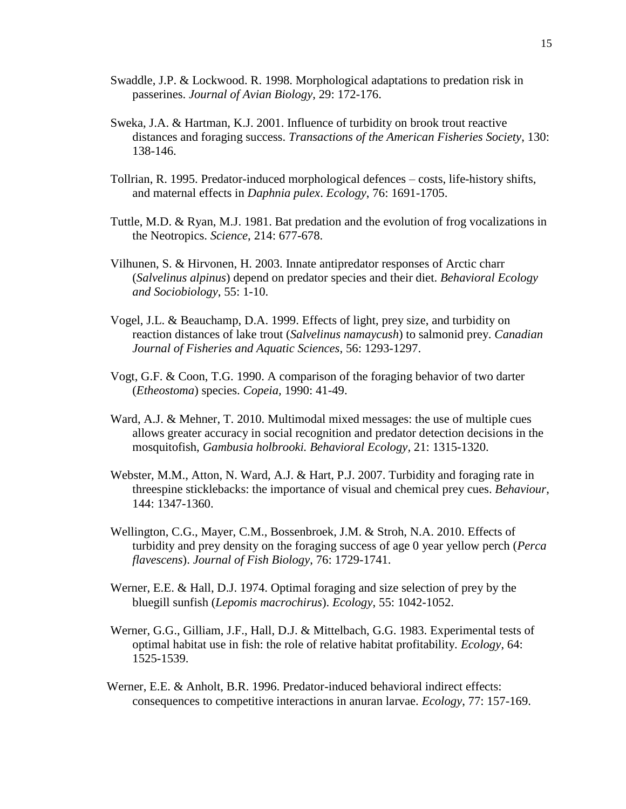- Swaddle, J.P. & Lockwood. R. 1998. Morphological adaptations to predation risk in passerines. *Journal of Avian Biology*, 29: 172-176.
- Sweka, J.A. & Hartman, K.J. 2001. Influence of turbidity on brook trout reactive distances and foraging success. *Transactions of the American Fisheries Society*, 130: 138-146.
- Tollrian, R. 1995. Predator-induced morphological defences costs, life-history shifts, and maternal effects in *Daphnia pulex*. *Ecology*, 76: 1691-1705.
- Tuttle, M.D. & Ryan, M.J. 1981. Bat predation and the evolution of frog vocalizations in the Neotropics. *Science*, 214: 677-678.
- Vilhunen, S. & Hirvonen, H. 2003. Innate antipredator responses of Arctic charr (*Salvelinus alpinus*) depend on predator species and their diet. *Behavioral Ecology and Sociobiology*, 55: 1-10.
- Vogel, J.L. & Beauchamp, D.A. 1999. Effects of light, prey size, and turbidity on reaction distances of lake trout (*Salvelinus namaycush*) to salmonid prey. *Canadian Journal of Fisheries and Aquatic Sciences*, 56: 1293-1297.
- Vogt, G.F. & Coon, T.G. 1990. A comparison of the foraging behavior of two darter (*Etheostoma*) species. *Copeia,* 1990: 41-49.
- Ward, A.J. & Mehner, T. 2010. Multimodal mixed messages: the use of multiple cues allows greater accuracy in social recognition and predator detection decisions in the mosquitofish, *Gambusia holbrooki. Behavioral Ecology,* 21: 1315-1320.
- Webster, M.M., Atton, N. Ward, A.J. & Hart, P.J. 2007. Turbidity and foraging rate in threespine sticklebacks: the importance of visual and chemical prey cues. *Behaviour*, 144: 1347-1360.
- Wellington, C.G., Mayer, C.M., Bossenbroek, J.M. & Stroh, N.A. 2010. Effects of turbidity and prey density on the foraging success of age 0 year yellow perch (*Perca flavescens*). *Journal of Fish Biology*, 76: 1729-1741.
- Werner, E.E. & Hall, D.J. 1974. Optimal foraging and size selection of prey by the bluegill sunfish (*Lepomis macrochirus*). *Ecology*, 55: 1042-1052.
- Werner, G.G., Gilliam, J.F., Hall, D.J. & Mittelbach, G.G. 1983. Experimental tests of optimal habitat use in fish: the role of relative habitat profitability. *Ecology*, 64: 1525-1539.
- Werner, E.E. & Anholt, B.R. 1996. Predator-induced behavioral indirect effects: consequences to competitive interactions in anuran larvae. *Ecology*, 77: 157-169.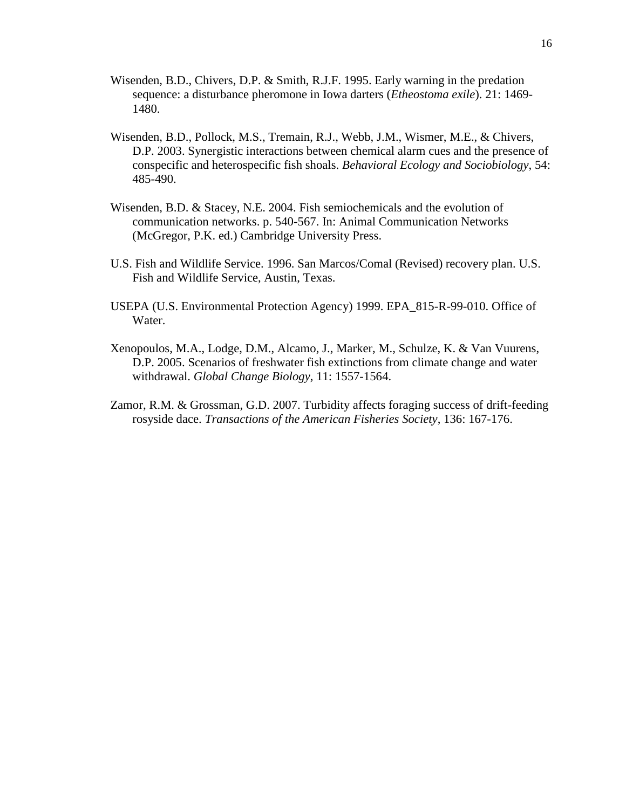- Wisenden, B.D., Chivers, D.P. & Smith, R.J.F. 1995. Early warning in the predation sequence: a disturbance pheromone in Iowa darters (*Etheostoma exile*). 21: 1469- 1480.
- Wisenden, B.D., Pollock, M.S., Tremain, R.J., Webb, J.M., Wismer, M.E., & Chivers, D.P. 2003. Synergistic interactions between chemical alarm cues and the presence of conspecific and heterospecific fish shoals. *Behavioral Ecology and Sociobiology*, 54: 485-490.
- Wisenden, B.D. & Stacey, N.E. 2004. Fish semiochemicals and the evolution of communication networks. p. 540-567. In: Animal Communication Networks (McGregor, P.K. ed.) Cambridge University Press.
- U.S. Fish and Wildlife Service. 1996. San Marcos/Comal (Revised) recovery plan. U.S. Fish and Wildlife Service, Austin, Texas.
- USEPA (U.S. Environmental Protection Agency) 1999. EPA\_815-R-99-010. Office of Water.
- Xenopoulos, M.A., Lodge, D.M., Alcamo, J., Marker, M., Schulze, K. & Van Vuurens, D.P. 2005. Scenarios of freshwater fish extinctions from climate change and water withdrawal. *Global Change Biology*, 11: 1557-1564.
- Zamor, R.M. & Grossman, G.D. 2007. Turbidity affects foraging success of drift-feeding rosyside dace. *Transactions of the American Fisheries Society*, 136: 167-176.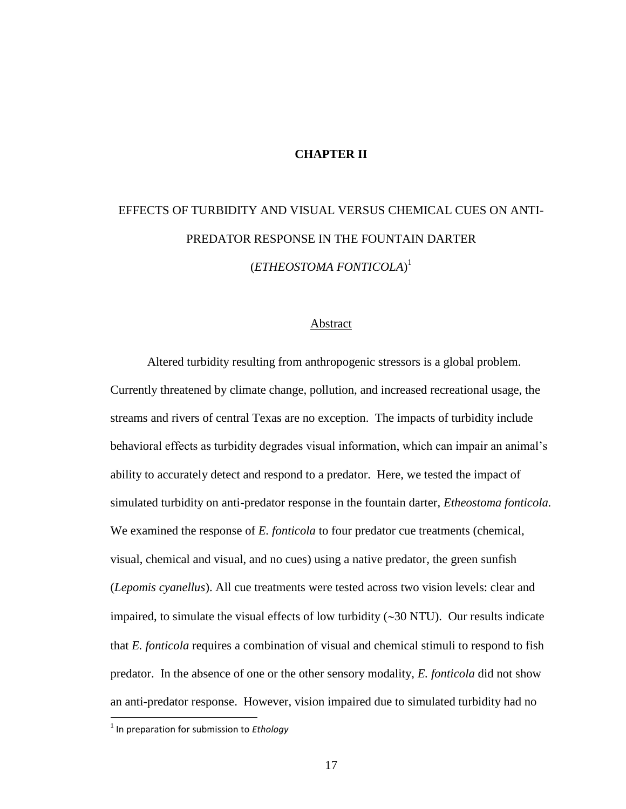#### **CHAPTER II**

# EFFECTS OF TURBIDITY AND VISUAL VERSUS CHEMICAL CUES ON ANTI-PREDATOR RESPONSE IN THE FOUNTAIN DARTER (*ETHEOSTOMA FONTICOLA*) 1

#### Abstract

Altered turbidity resulting from anthropogenic stressors is a global problem. Currently threatened by climate change, pollution, and increased recreational usage, the streams and rivers of central Texas are no exception. The impacts of turbidity include behavioral effects as turbidity degrades visual information, which can impair an animal's ability to accurately detect and respond to a predator. Here, we tested the impact of simulated turbidity on anti-predator response in the fountain darter, *Etheostoma fonticola.*  We examined the response of *E. fonticola* to four predator cue treatments (chemical, visual, chemical and visual, and no cues) using a native predator*,* the green sunfish (*Lepomis cyanellus*). All cue treatments were tested across two vision levels: clear and impaired, to simulate the visual effects of low turbidity  $(\sim]30$  NTU). Our results indicate that *E. fonticola* requires a combination of visual and chemical stimuli to respond to fish predator. In the absence of one or the other sensory modality, *E. fonticola* did not show an anti-predator response. However, vision impaired due to simulated turbidity had no

 $\overline{\phantom{a}}$ 

<sup>1</sup> In preparation for submission to *Ethology*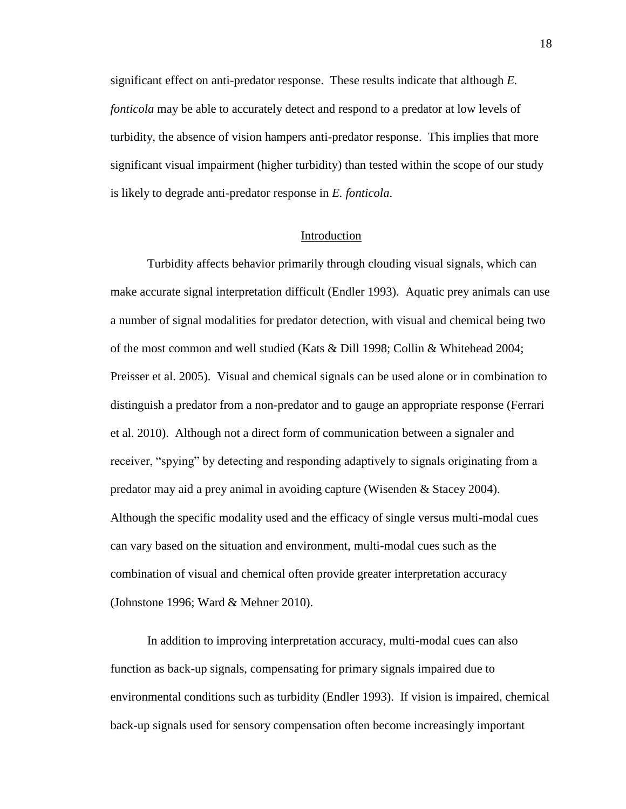significant effect on anti-predator response. These results indicate that although *E. fonticola* may be able to accurately detect and respond to a predator at low levels of turbidity, the absence of vision hampers anti-predator response. This implies that more significant visual impairment (higher turbidity) than tested within the scope of our study is likely to degrade anti-predator response in *E. fonticola*.

#### Introduction

Turbidity affects behavior primarily through clouding visual signals, which can make accurate signal interpretation difficult (Endler 1993). Aquatic prey animals can use a number of signal modalities for predator detection, with visual and chemical being two of the most common and well studied (Kats & Dill 1998; Collin & Whitehead 2004; Preisser et al. 2005). Visual and chemical signals can be used alone or in combination to distinguish a predator from a non-predator and to gauge an appropriate response (Ferrari et al. 2010). Although not a direct form of communication between a signaler and receiver, "spying" by detecting and responding adaptively to signals originating from a predator may aid a prey animal in avoiding capture (Wisenden & Stacey 2004). Although the specific modality used and the efficacy of single versus multi-modal cues can vary based on the situation and environment, multi-modal cues such as the combination of visual and chemical often provide greater interpretation accuracy (Johnstone 1996; Ward & Mehner 2010).

In addition to improving interpretation accuracy, multi-modal cues can also function as back-up signals, compensating for primary signals impaired due to environmental conditions such as turbidity (Endler 1993). If vision is impaired, chemical back-up signals used for sensory compensation often become increasingly important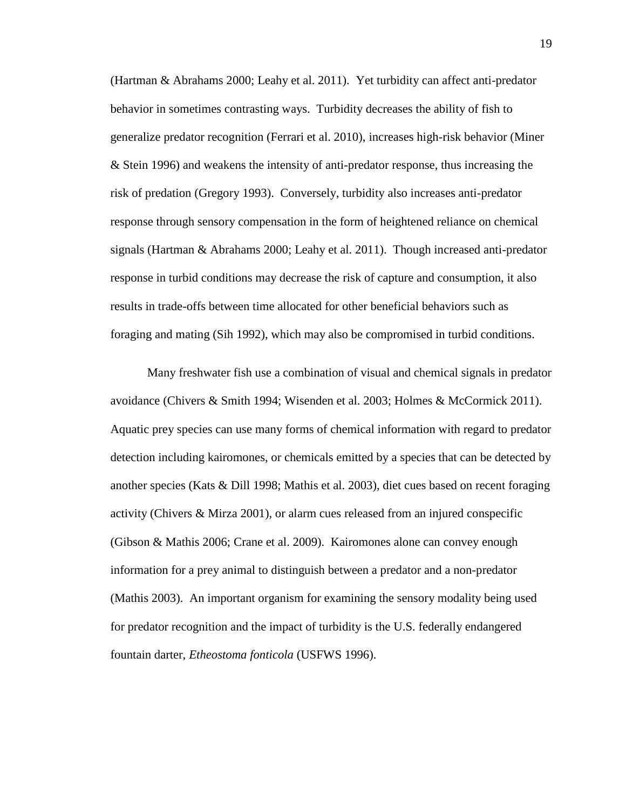(Hartman & Abrahams 2000; Leahy et al. 2011). Yet turbidity can affect anti-predator behavior in sometimes contrasting ways. Turbidity decreases the ability of fish to generalize predator recognition (Ferrari et al. 2010), increases high-risk behavior (Miner & Stein 1996) and weakens the intensity of anti-predator response, thus increasing the risk of predation (Gregory 1993). Conversely, turbidity also increases anti-predator response through sensory compensation in the form of heightened reliance on chemical signals (Hartman & Abrahams 2000; Leahy et al. 2011). Though increased anti-predator response in turbid conditions may decrease the risk of capture and consumption, it also results in trade-offs between time allocated for other beneficial behaviors such as foraging and mating (Sih 1992), which may also be compromised in turbid conditions.

Many freshwater fish use a combination of visual and chemical signals in predator avoidance (Chivers & Smith 1994; Wisenden et al. 2003; Holmes & McCormick 2011). Aquatic prey species can use many forms of chemical information with regard to predator detection including kairomones, or chemicals emitted by a species that can be detected by another species (Kats & Dill 1998; Mathis et al. 2003), diet cues based on recent foraging activity (Chivers & Mirza 2001), or alarm cues released from an injured conspecific (Gibson & Mathis 2006; Crane et al. 2009). Kairomones alone can convey enough information for a prey animal to distinguish between a predator and a non-predator (Mathis 2003). An important organism for examining the sensory modality being used for predator recognition and the impact of turbidity is the U.S. federally endangered fountain darter, *Etheostoma fonticola* (USFWS 1996).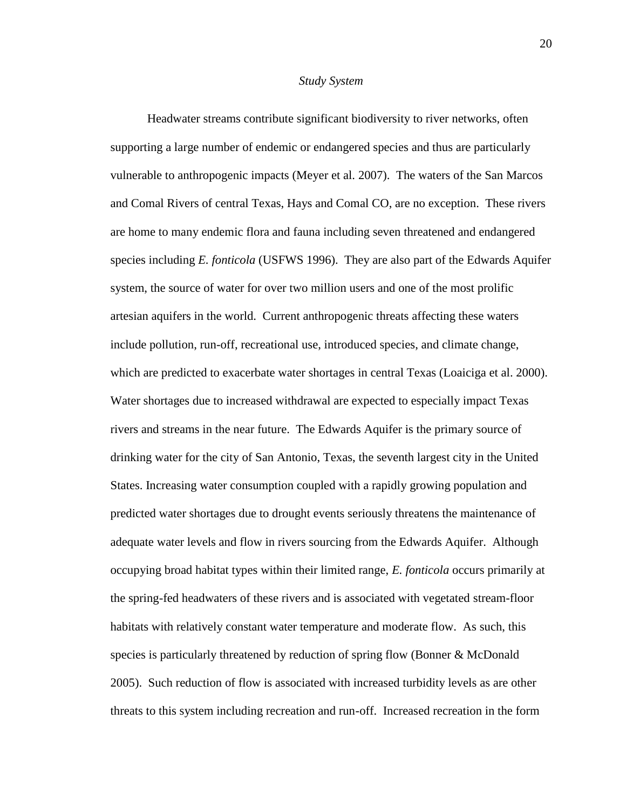#### *Study System*

Headwater streams contribute significant biodiversity to river networks, often supporting a large number of endemic or endangered species and thus are particularly vulnerable to anthropogenic impacts (Meyer et al. 2007). The waters of the San Marcos and Comal Rivers of central Texas, Hays and Comal CO, are no exception. These rivers are home to many endemic flora and fauna including seven threatened and endangered species including *E. fonticola* (USFWS 1996). They are also part of the Edwards Aquifer system, the source of water for over two million users and one of the most prolific artesian aquifers in the world. Current anthropogenic threats affecting these waters include pollution, run-off, recreational use, introduced species, and climate change, which are predicted to exacerbate water shortages in central Texas (Loaiciga et al. 2000). Water shortages due to increased withdrawal are expected to especially impact Texas rivers and streams in the near future. The Edwards Aquifer is the primary source of drinking water for the city of San Antonio, Texas, the seventh largest city in the United States. Increasing water consumption coupled with a rapidly growing population and predicted water shortages due to drought events seriously threatens the maintenance of adequate water levels and flow in rivers sourcing from the Edwards Aquifer. Although occupying broad habitat types within their limited range, *E. fonticola* occurs primarily at the spring-fed headwaters of these rivers and is associated with vegetated stream-floor habitats with relatively constant water temperature and moderate flow. As such, this species is particularly threatened by reduction of spring flow (Bonner & McDonald 2005). Such reduction of flow is associated with increased turbidity levels as are other threats to this system including recreation and run-off. Increased recreation in the form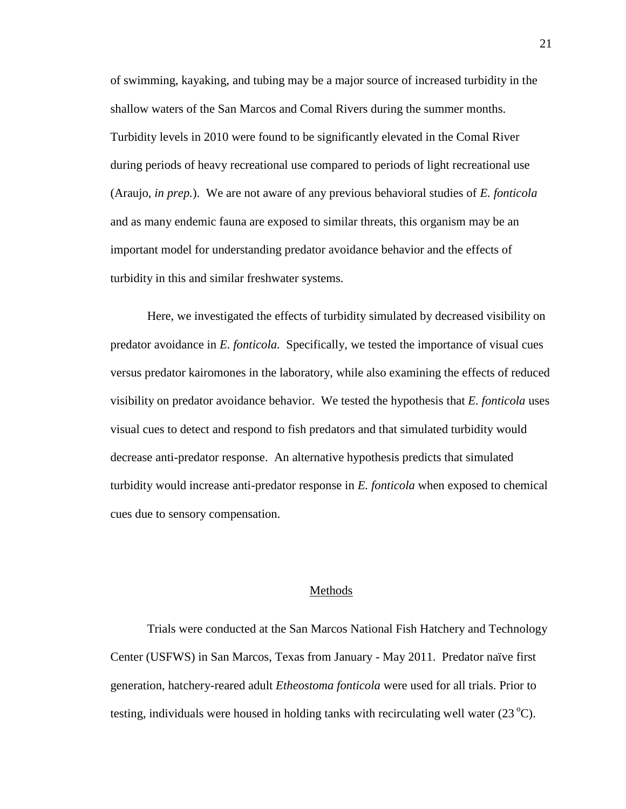of swimming, kayaking, and tubing may be a major source of increased turbidity in the shallow waters of the San Marcos and Comal Rivers during the summer months. Turbidity levels in 2010 were found to be significantly elevated in the Comal River during periods of heavy recreational use compared to periods of light recreational use (Araujo, *in prep.*). We are not aware of any previous behavioral studies of *E. fonticola* and as many endemic fauna are exposed to similar threats, this organism may be an important model for understanding predator avoidance behavior and the effects of turbidity in this and similar freshwater systems.

Here, we investigated the effects of turbidity simulated by decreased visibility on predator avoidance in *E. fonticola.* Specifically, we tested the importance of visual cues versus predator kairomones in the laboratory, while also examining the effects of reduced visibility on predator avoidance behavior. We tested the hypothesis that *E. fonticola* uses visual cues to detect and respond to fish predators and that simulated turbidity would decrease anti-predator response. An alternative hypothesis predicts that simulated turbidity would increase anti-predator response in *E. fonticola* when exposed to chemical cues due to sensory compensation.

#### Methods

Trials were conducted at the San Marcos National Fish Hatchery and Technology Center (USFWS) in San Marcos, Texas from January - May 2011. Predator naïve first generation, hatchery-reared adult *Etheostoma fonticola* were used for all trials. Prior to testing, individuals were housed in holding tanks with recirculating well water  $(23^{\circ}C)$ .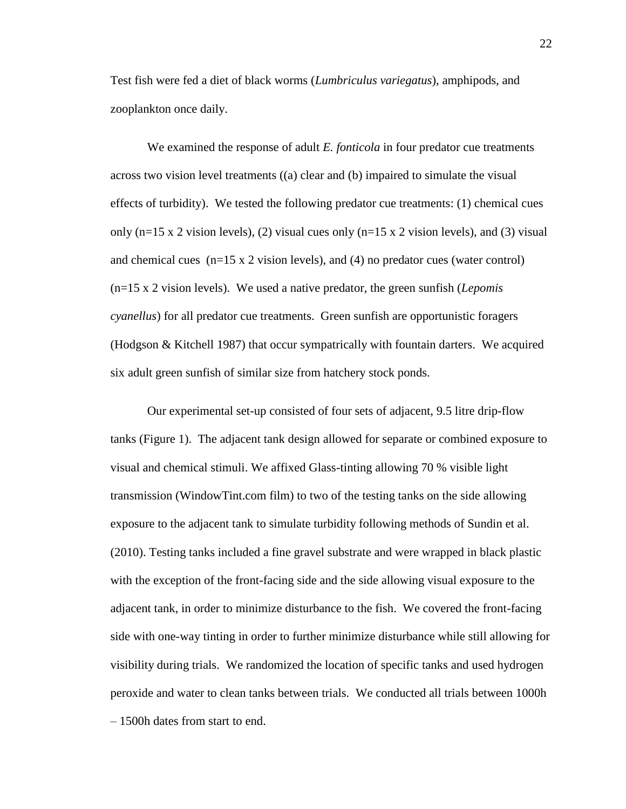Test fish were fed a diet of black worms (*Lumbriculus variegatus*), amphipods, and zooplankton once daily.

We examined the response of adult *E. fonticola* in four predator cue treatments across two vision level treatments ((a) clear and (b) impaired to simulate the visual effects of turbidity). We tested the following predator cue treatments: (1) chemical cues only ( $n=15 \times 2$  vision levels), (2) visual cues only ( $n=15 \times 2$  vision levels), and (3) visual and chemical cues  $(n=15 \times 2 \text{ vision levels})$ , and (4) no predator cues (water control) (n=15 x 2 vision levels). We used a native predator, the green sunfish (*Lepomis cyanellus*) for all predator cue treatments. Green sunfish are opportunistic foragers (Hodgson & Kitchell 1987) that occur sympatrically with fountain darters. We acquired six adult green sunfish of similar size from hatchery stock ponds.

Our experimental set-up consisted of four sets of adjacent, 9.5 litre drip-flow tanks (Figure 1). The adjacent tank design allowed for separate or combined exposure to visual and chemical stimuli. We affixed Glass-tinting allowing 70 % visible light transmission (WindowTint.com film) to two of the testing tanks on the side allowing exposure to the adjacent tank to simulate turbidity following methods of Sundin et al. (2010). Testing tanks included a fine gravel substrate and were wrapped in black plastic with the exception of the front-facing side and the side allowing visual exposure to the adjacent tank, in order to minimize disturbance to the fish. We covered the front-facing side with one-way tinting in order to further minimize disturbance while still allowing for visibility during trials. We randomized the location of specific tanks and used hydrogen peroxide and water to clean tanks between trials. We conducted all trials between 1000h – 1500h dates from start to end.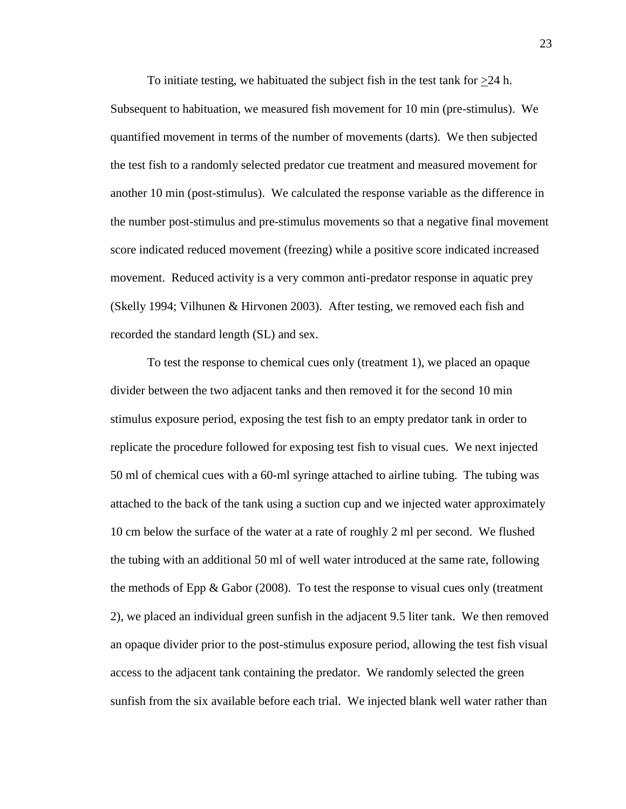To initiate testing, we habituated the subject fish in the test tank for >24 h. Subsequent to habituation, we measured fish movement for 10 min (pre-stimulus). We quantified movement in terms of the number of movements (darts). We then subjected the test fish to a randomly selected predator cue treatment and measured movement for another 10 min (post-stimulus). We calculated the response variable as the difference in the number post-stimulus and pre-stimulus movements so that a negative final movement score indicated reduced movement (freezing) while a positive score indicated increased movement. Reduced activity is a very common anti-predator response in aquatic prey (Skelly 1994; Vilhunen & Hirvonen 2003). After testing, we removed each fish and recorded the standard length (SL) and sex.

To test the response to chemical cues only (treatment 1), we placed an opaque divider between the two adjacent tanks and then removed it for the second 10 min stimulus exposure period, exposing the test fish to an empty predator tank in order to replicate the procedure followed for exposing test fish to visual cues. We next injected 50 ml of chemical cues with a 60-ml syringe attached to airline tubing. The tubing was attached to the back of the tank using a suction cup and we injected water approximately 10 cm below the surface of the water at a rate of roughly 2 ml per second. We flushed the tubing with an additional 50 ml of well water introduced at the same rate, following the methods of Epp  $\&$  Gabor (2008). To test the response to visual cues only (treatment 2), we placed an individual green sunfish in the adjacent 9.5 liter tank. We then removed an opaque divider prior to the post-stimulus exposure period, allowing the test fish visual access to the adjacent tank containing the predator. We randomly selected the green sunfish from the six available before each trial. We injected blank well water rather than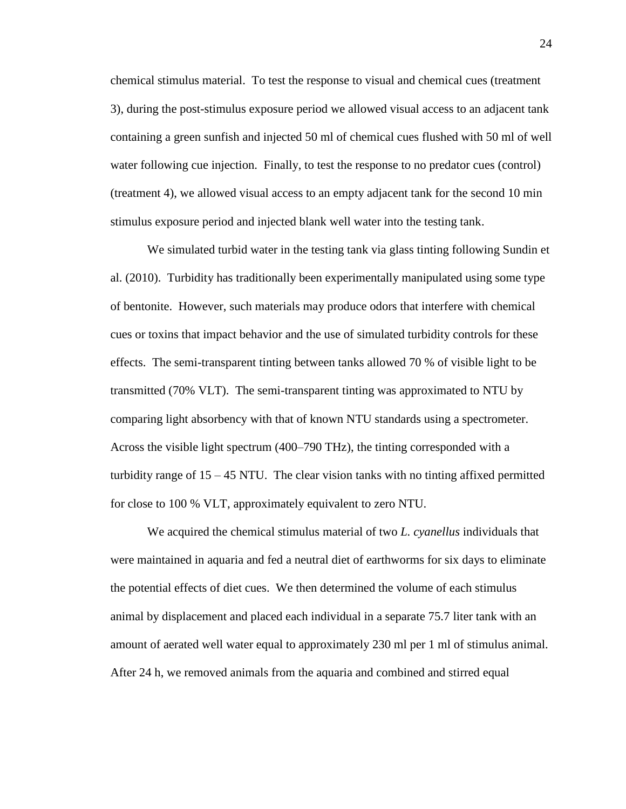chemical stimulus material. To test the response to visual and chemical cues (treatment 3), during the post-stimulus exposure period we allowed visual access to an adjacent tank containing a green sunfish and injected 50 ml of chemical cues flushed with 50 ml of well water following cue injection. Finally, to test the response to no predator cues (control) (treatment 4), we allowed visual access to an empty adjacent tank for the second 10 min stimulus exposure period and injected blank well water into the testing tank.

We simulated turbid water in the testing tank via glass tinting following Sundin et al. (2010). Turbidity has traditionally been experimentally manipulated using some type of bentonite. However, such materials may produce odors that interfere with chemical cues or toxins that impact behavior and the use of simulated turbidity controls for these effects. The semi-transparent tinting between tanks allowed 70 % of visible light to be transmitted (70% VLT). The semi-transparent tinting was approximated to NTU by comparing light absorbency with that of known NTU standards using a spectrometer. Across the visible light spectrum (400–790 [THz\)](http://en.wikipedia.org/wiki/Terahertz), the tinting corresponded with a turbidity range of  $15 - 45$  NTU. The clear vision tanks with no tinting affixed permitted for close to 100 % VLT, approximately equivalent to zero NTU.

We acquired the chemical stimulus material of two *L. cyanellus* individuals that were maintained in aquaria and fed a neutral diet of earthworms for six days to eliminate the potential effects of diet cues. We then determined the volume of each stimulus animal by displacement and placed each individual in a separate 75.7 liter tank with an amount of aerated well water equal to approximately 230 ml per 1 ml of stimulus animal. After 24 h, we removed animals from the aquaria and combined and stirred equal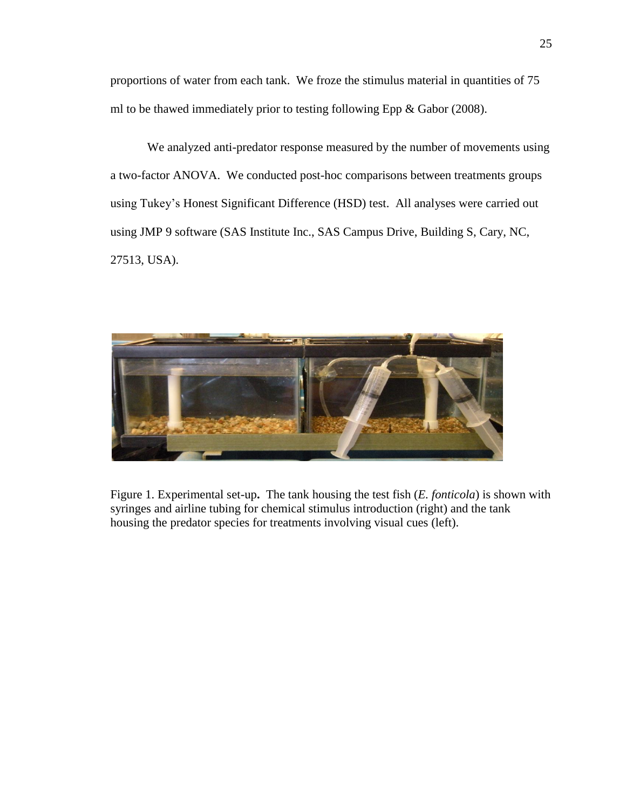proportions of water from each tank. We froze the stimulus material in quantities of 75 ml to be thawed immediately prior to testing following Epp & Gabor (2008).

We analyzed anti-predator response measured by the number of movements using a two-factor ANOVA. We conducted post-hoc comparisons between treatments groups using Tukey's Honest Significant Difference (HSD) test. All analyses were carried out using JMP 9 software (SAS Institute Inc., SAS Campus Drive, Building S, Cary, NC, 27513, USA).



Figure 1. Experimental set-up**.** The tank housing the test fish (*E. fonticola*) is shown with syringes and airline tubing for chemical stimulus introduction (right) and the tank housing the predator species for treatments involving visual cues (left).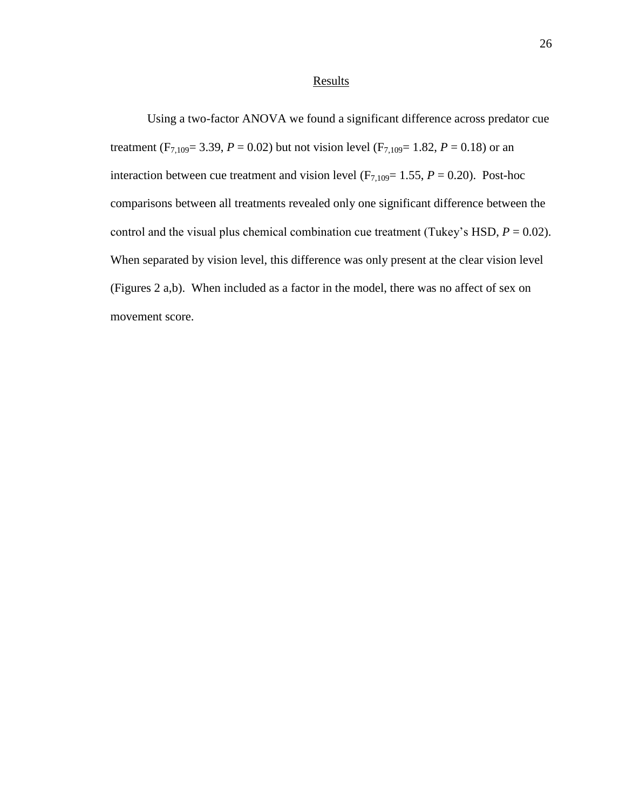### **Results**

Using a two-factor ANOVA we found a significant difference across predator cue treatment (F<sub>7,109</sub> = 3.39,  $P = 0.02$ ) but not vision level (F<sub>7,109</sub> = 1.82,  $P = 0.18$ ) or an interaction between cue treatment and vision level  $(F_{7,109}= 1.55, P = 0.20)$ . Post-hoc comparisons between all treatments revealed only one significant difference between the control and the visual plus chemical combination cue treatment (Tukey's HSD,  $P = 0.02$ ). When separated by vision level, this difference was only present at the clear vision level (Figures 2 a,b). When included as a factor in the model, there was no affect of sex on movement score.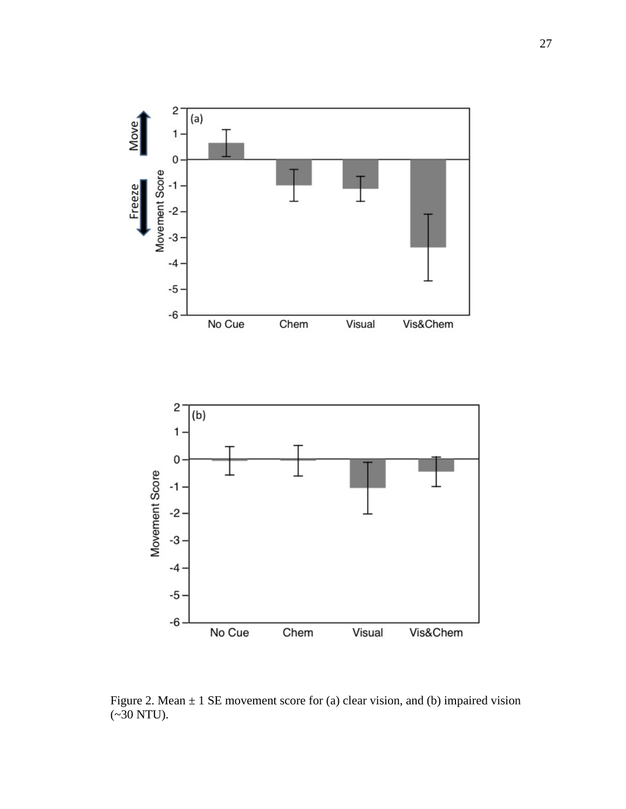

Figure 2. Mean  $\pm$  1 SE movement score for (a) clear vision, and (b) impaired vision  $(*30 NTU).$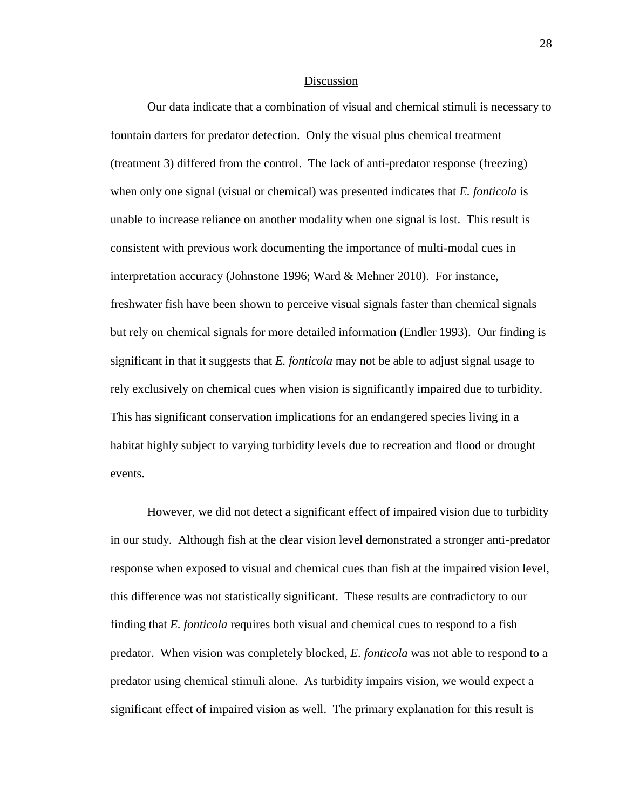#### Discussion

Our data indicate that a combination of visual and chemical stimuli is necessary to fountain darters for predator detection. Only the visual plus chemical treatment (treatment 3) differed from the control. The lack of anti-predator response (freezing) when only one signal (visual or chemical) was presented indicates that *E. fonticola* is unable to increase reliance on another modality when one signal is lost. This result is consistent with previous work documenting the importance of multi-modal cues in interpretation accuracy (Johnstone 1996; Ward & Mehner 2010). For instance, freshwater fish have been shown to perceive visual signals faster than chemical signals but rely on chemical signals for more detailed information (Endler 1993). Our finding is significant in that it suggests that *E. fonticola* may not be able to adjust signal usage to rely exclusively on chemical cues when vision is significantly impaired due to turbidity. This has significant conservation implications for an endangered species living in a habitat highly subject to varying turbidity levels due to recreation and flood or drought events.

However, we did not detect a significant effect of impaired vision due to turbidity in our study. Although fish at the clear vision level demonstrated a stronger anti-predator response when exposed to visual and chemical cues than fish at the impaired vision level, this difference was not statistically significant. These results are contradictory to our finding that *E. fonticola* requires both visual and chemical cues to respond to a fish predator. When vision was completely blocked, *E. fonticola* was not able to respond to a predator using chemical stimuli alone. As turbidity impairs vision, we would expect a significant effect of impaired vision as well. The primary explanation for this result is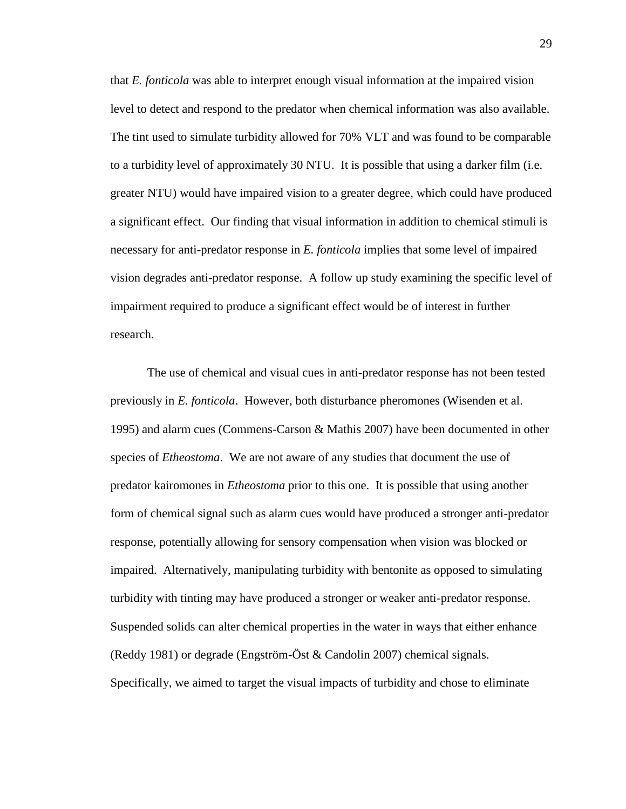that *E. fonticola* was able to interpret enough visual information at the impaired vision level to detect and respond to the predator when chemical information was also available. The tint used to simulate turbidity allowed for 70% VLT and was found to be comparable to a turbidity level of approximately 30 NTU. It is possible that using a darker film (i.e. greater NTU) would have impaired vision to a greater degree, which could have produced a significant effect. Our finding that visual information in addition to chemical stimuli is necessary for anti-predator response in *E. fonticola* implies that some level of impaired vision degrades anti-predator response. A follow up study examining the specific level of impairment required to produce a significant effect would be of interest in further research.

The use of chemical and visual cues in anti-predator response has not been tested previously in *E. fonticola*. However, both disturbance pheromones (Wisenden et al. 1995) and alarm cues (Commens-Carson & Mathis 2007) have been documented in other species of *Etheostoma*. We are not aware of any studies that document the use of predator kairomones in *Etheostoma* prior to this one. It is possible that using another form of chemical signal such as alarm cues would have produced a stronger anti-predator response, potentially allowing for sensory compensation when vision was blocked or impaired. Alternatively, manipulating turbidity with bentonite as opposed to simulating turbidity with tinting may have produced a stronger or weaker anti-predator response. Suspended solids can alter chemical properties in the water in ways that either enhance (Reddy 1981) or degrade (Engström-Öst & Candolin 2007) chemical signals. Specifically, we aimed to target the visual impacts of turbidity and chose to eliminate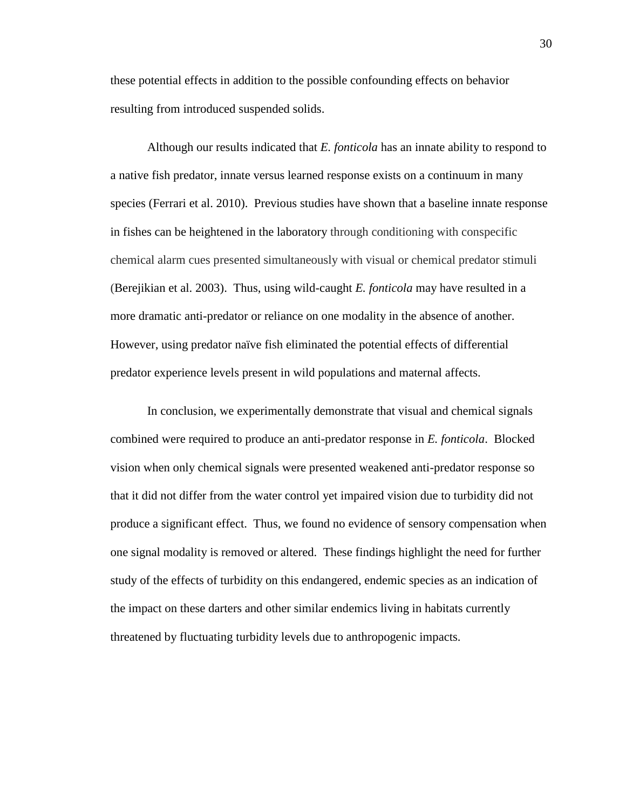these potential effects in addition to the possible confounding effects on behavior resulting from introduced suspended solids.

Although our results indicated that *E. fonticola* has an innate ability to respond to a native fish predator, innate versus learned response exists on a continuum in many species (Ferrari et al. 2010). Previous studies have shown that a baseline innate response in fishes can be heightened in the laboratory through conditioning with conspecific chemical alarm cues presented simultaneously with visual or chemical predator stimuli (Berejikian et al. 2003). Thus, using wild-caught *E. fonticola* may have resulted in a more dramatic anti-predator or reliance on one modality in the absence of another. However, using predator naïve fish eliminated the potential effects of differential predator experience levels present in wild populations and maternal affects.

In conclusion, we experimentally demonstrate that visual and chemical signals combined were required to produce an anti-predator response in *E. fonticola*. Blocked vision when only chemical signals were presented weakened anti-predator response so that it did not differ from the water control yet impaired vision due to turbidity did not produce a significant effect. Thus, we found no evidence of sensory compensation when one signal modality is removed or altered. These findings highlight the need for further study of the effects of turbidity on this endangered, endemic species as an indication of the impact on these darters and other similar endemics living in habitats currently threatened by fluctuating turbidity levels due to anthropogenic impacts.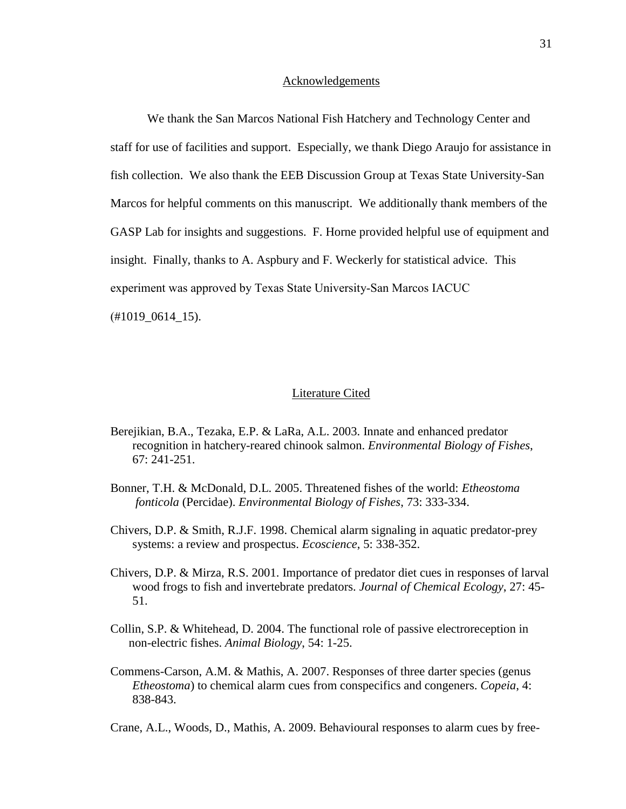#### Acknowledgements

We thank the San Marcos National Fish Hatchery and Technology Center and staff for use of facilities and support. Especially, we thank Diego Araujo for assistance in fish collection. We also thank the EEB Discussion Group at Texas State University-San Marcos for helpful comments on this manuscript. We additionally thank members of the GASP Lab for insights and suggestions. F. Horne provided helpful use of equipment and insight. Finally, thanks to A. Aspbury and F. Weckerly for statistical advice. This experiment was approved by Texas State University-San Marcos IACUC (#1019\_0614\_15).

#### Literature Cited

- Berejikian, B.A., Tezaka, E.P. & LaRa, A.L. 2003. Innate and enhanced predator recognition in hatchery-reared chinook salmon. *Environmental Biology of Fishes*, 67: 241-251.
- Bonner, T.H. & McDonald, D.L. 2005. Threatened fishes of the world: *Etheostoma fonticola* (Percidae). *Environmental Biology of Fishes*, 73: 333-334.
- Chivers, D.P. & Smith, R.J.F. 1998. Chemical alarm signaling in aquatic predator-prey systems: a review and prospectus. *Ecoscience*, 5: 338-352.
- Chivers, D.P. & Mirza, R.S. 2001. Importance of predator diet cues in responses of larval wood frogs to fish and invertebrate predators. *Journal of Chemical Ecology*, 27: 45- 51.
- Collin, S.P. & Whitehead, D. 2004. The functional role of passive electroreception in non-electric fishes. *Animal Biology*, 54: 1-25.
- Commens-Carson, A.M. & Mathis, A. 2007. Responses of three darter species (genus *Etheostoma*) to chemical alarm cues from conspecifics and congeners. *Copeia*, 4: 838-843.

Crane, A.L., Woods, D., Mathis, A. 2009. Behavioural responses to alarm cues by free-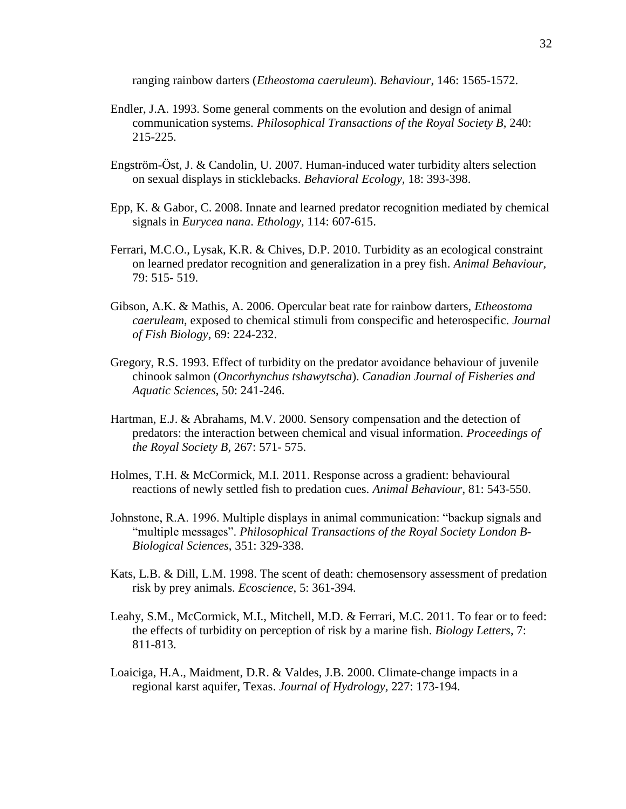ranging rainbow darters (*Etheostoma caeruleum*). *Behaviour*, 146: 1565-1572.

- Endler, J.A. 1993. Some general comments on the evolution and design of animal communication systems. *Philosophical Transactions of the Royal Society B*, 240: 215-225.
- Engström-Öst, J. & Candolin, U. 2007. Human-induced water turbidity alters selection on sexual displays in sticklebacks. *Behavioral Ecology,* 18: 393-398.
- Epp, K. & Gabor, C. 2008. Innate and learned predator recognition mediated by chemical signals in *Eurycea nana*. *Ethology,* 114: 607-615.
- Ferrari, M.C.O., Lysak, K.R. & Chives, D.P. 2010. Turbidity as an ecological constraint on learned predator recognition and generalization in a prey fish. *Animal Behaviour,*  79: 515- 519.
- Gibson, A.K. & Mathis, A. 2006. Opercular beat rate for rainbow darters, *Etheostoma caeruleam*, exposed to chemical stimuli from conspecific and heterospecific. *Journal of Fish Biology*, 69: 224-232.
- Gregory, R.S. 1993. Effect of turbidity on the predator avoidance behaviour of juvenile chinook salmon (*Oncorhynchus tshawytscha*). *Canadian Journal of Fisheries and Aquatic Sciences*, 50: 241-246.
- Hartman, E.J. & Abrahams, M.V. 2000. Sensory compensation and the detection of predators: the interaction between chemical and visual information. *Proceedings of the Royal Society B,* 267: 571- 575.
- Holmes, T.H. & McCormick, M.I. 2011. Response across a gradient: behavioural reactions of newly settled fish to predation cues. *Animal Behaviour*, 81: 543-550.
- Johnstone, R.A. 1996. Multiple displays in animal communication: "backup signals and "multiple messages". *Philosophical Transactions of the Royal Society London B-Biological Sciences*, 351: 329-338.
- Kats, L.B. & Dill, L.M. 1998. The scent of death: chemosensory assessment of predation risk by prey animals. *Ecoscience*, 5: 361-394.
- Leahy, S.M., McCormick, M.I., Mitchell, M.D. & Ferrari, M.C. 2011. To fear or to feed: the effects of turbidity on perception of risk by a marine fish. *Biology Letters*, 7: 811-813.
- Loaiciga, H.A., Maidment, D.R. & Valdes, J.B. 2000. Climate-change impacts in a regional karst aquifer, Texas. *Journal of Hydrology,* 227: 173-194.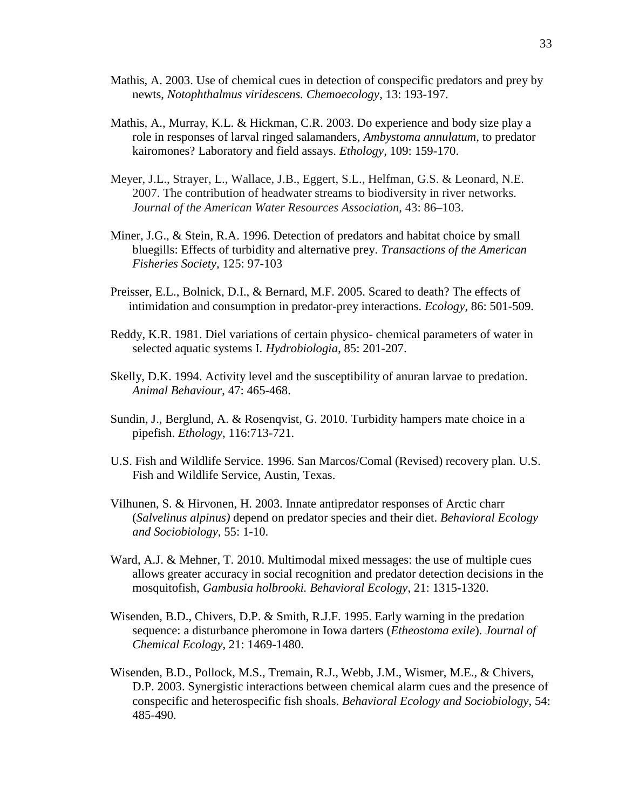- Mathis, A. 2003. Use of chemical cues in detection of conspecific predators and prey by newts, *Notophthalmus viridescens. Chemoecology*, 13: 193-197.
- Mathis, A., Murray, K.L. & Hickman, C.R. 2003. Do experience and body size play a role in responses of larval ringed salamanders, *Ambystoma annulatum*, to predator kairomones? Laboratory and field assays. *Ethology*, 109: 159-170.
- Meyer, J.L., Strayer, L., Wallace, J.B., Eggert, S.L., Helfman, G.S. & Leonard, N.E. 2007. The contribution of headwater streams to biodiversity in river networks. *Journal of the American Water Resources Association*, 43: 86–103.
- Miner, J.G., & Stein, R.A. 1996. Detection of predators and habitat choice by small bluegills: Effects of turbidity and alternative prey. *Transactions of the American Fisheries Society,* 125: 97-103
- Preisser, E.L., Bolnick, D.I., & Bernard, M.F. 2005. Scared to death? The effects of intimidation and consumption in predator-prey interactions. *Ecology*, 86: 501-509.
- Reddy, K.R. 1981. Diel variations of certain physico- chemical parameters of water in selected aquatic systems I. *Hydrobiologia*, 85: 201-207.
- Skelly, D.K. 1994. Activity level and the susceptibility of anuran larvae to predation. *Animal Behaviour*, 47: 465-468.
- Sundin, J., Berglund, A. & Rosenqvist, G. 2010. Turbidity hampers mate choice in a pipefish. *Ethology*, 116:713-721.
- U.S. Fish and Wildlife Service. 1996. San Marcos/Comal (Revised) recovery plan. U.S. Fish and Wildlife Service, Austin, Texas.
- Vilhunen, S. & Hirvonen, H. 2003. Innate antipredator responses of Arctic charr (*Salvelinus alpinus)* depend on predator species and their diet. *Behavioral Ecology and Sociobiology*, 55: 1-10.
- Ward, A.J. & Mehner, T. 2010. Multimodal mixed messages: the use of multiple cues allows greater accuracy in social recognition and predator detection decisions in the mosquitofish, *Gambusia holbrooki. Behavioral Ecology*, 21: 1315-1320.
- Wisenden, B.D., Chivers, D.P. & Smith, R.J.F. 1995. Early warning in the predation sequence: a disturbance pheromone in Iowa darters (*Etheostoma exile*). *Journal of Chemical Ecology*, 21: 1469-1480.
- Wisenden, B.D., Pollock, M.S., Tremain, R.J., Webb, J.M., Wismer, M.E., & Chivers, D.P. 2003. Synergistic interactions between chemical alarm cues and the presence of conspecific and heterospecific fish shoals. *Behavioral Ecology and Sociobiology*, 54: 485-490.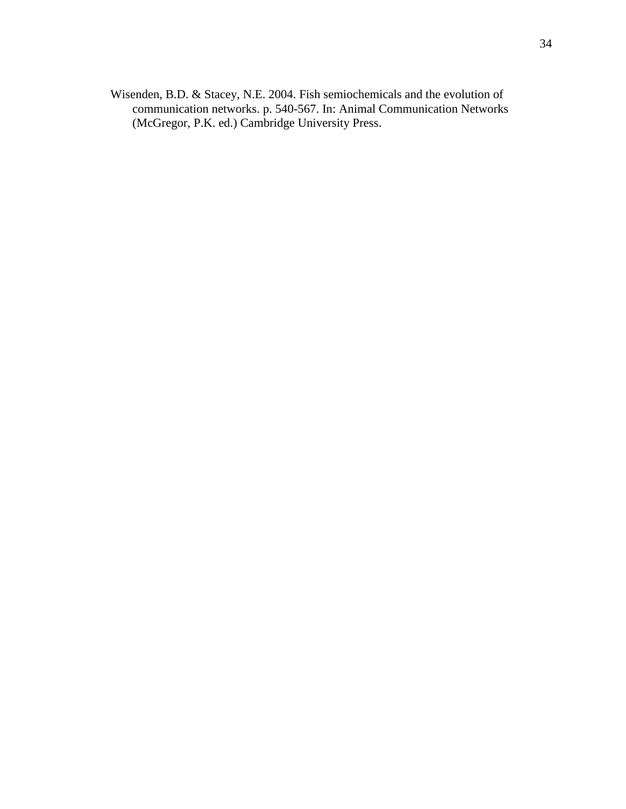Wisenden, B.D. & Stacey, N.E. 2004. Fish semiochemicals and the evolution of communication networks. p. 540-567. In: Animal Communication Networks (McGregor, P.K. ed.) Cambridge University Press.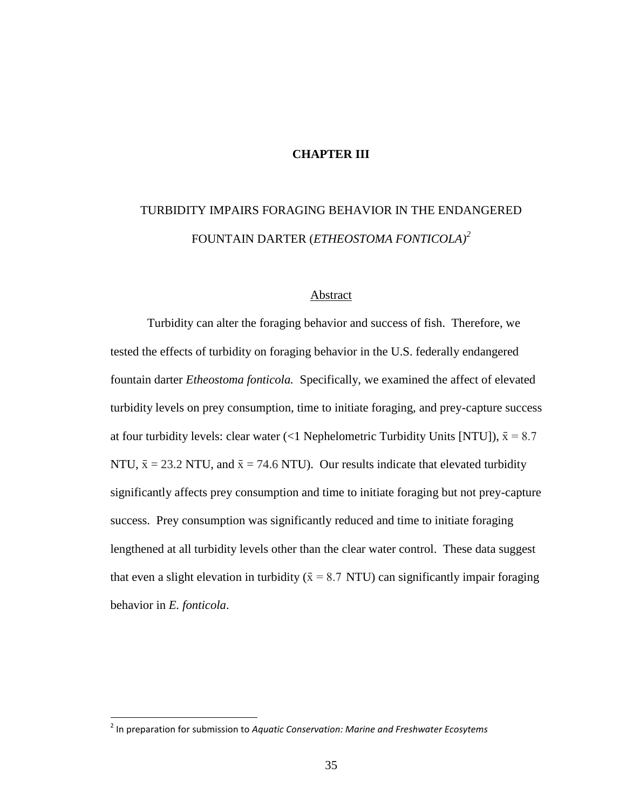#### **CHAPTER III**

# TURBIDITY IMPAIRS FORAGING BEHAVIOR IN THE ENDANGERED FOUNTAIN DARTER (*ETHEOSTOMA FONTICOLA)<sup>2</sup>*

#### Abstract

Turbidity can alter the foraging behavior and success of fish. Therefore, we tested the effects of turbidity on foraging behavior in the U.S. federally endangered fountain darter *Etheostoma fonticola.* Specifically, we examined the affect of elevated turbidity levels on prey consumption, time to initiate foraging, and prey-capture success at four turbidity levels: clear water (<1 Nephelometric Turbidity Units [NTU]),  $\bar{x} = 8.7$ NTU,  $\bar{x} = 23.2$  NTU, and  $\bar{x} = 74.6$  NTU). Our results indicate that elevated turbidity significantly affects prey consumption and time to initiate foraging but not prey-capture success. Prey consumption was significantly reduced and time to initiate foraging lengthened at all turbidity levels other than the clear water control. These data suggest that even a slight elevation in turbidity ( $\bar{x}$  = 8.7 NTU) can significantly impair foraging behavior in *E. fonticola*.

 $\overline{\phantom{a}}$ 

<sup>2</sup> In preparation for submission to *Aquatic Conservation: Marine and Freshwater Ecosytems*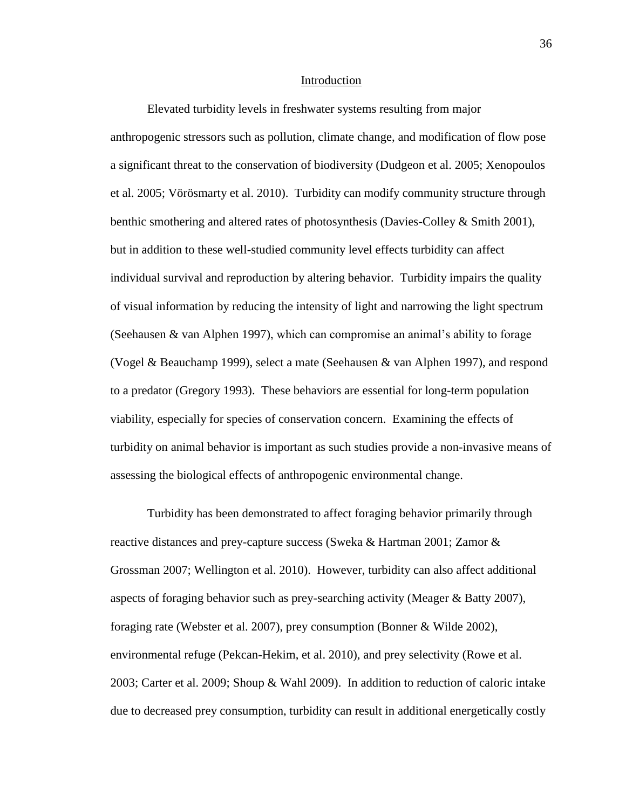#### Introduction

Elevated turbidity levels in freshwater systems resulting from major anthropogenic stressors such as pollution, climate change, and modification of flow pose a significant threat to the conservation of biodiversity (Dudgeon et al. 2005; Xenopoulos et al. 2005; Vörösmarty et al. 2010). Turbidity can modify community structure through benthic smothering and altered rates of photosynthesis (Davies-Colley & Smith 2001), but in addition to these well-studied community level effects turbidity can affect individual survival and reproduction by altering behavior. Turbidity impairs the quality of visual information by reducing the intensity of light and narrowing the light spectrum (Seehausen & van Alphen 1997), which can compromise an animal's ability to forage (Vogel & Beauchamp 1999), select a mate (Seehausen & van Alphen 1997), and respond to a predator (Gregory 1993). These behaviors are essential for long-term population viability, especially for species of conservation concern. Examining the effects of turbidity on animal behavior is important as such studies provide a non-invasive means of assessing the biological effects of anthropogenic environmental change.

Turbidity has been demonstrated to affect foraging behavior primarily through reactive distances and prey-capture success (Sweka & Hartman 2001; Zamor & Grossman 2007; Wellington et al. 2010). However, turbidity can also affect additional aspects of foraging behavior such as prey-searching activity (Meager & Batty 2007), foraging rate (Webster et al. 2007), prey consumption (Bonner & Wilde 2002), environmental refuge (Pekcan-Hekim, et al. 2010), and prey selectivity (Rowe et al. 2003; Carter et al. 2009; Shoup & Wahl 2009). In addition to reduction of caloric intake due to decreased prey consumption, turbidity can result in additional energetically costly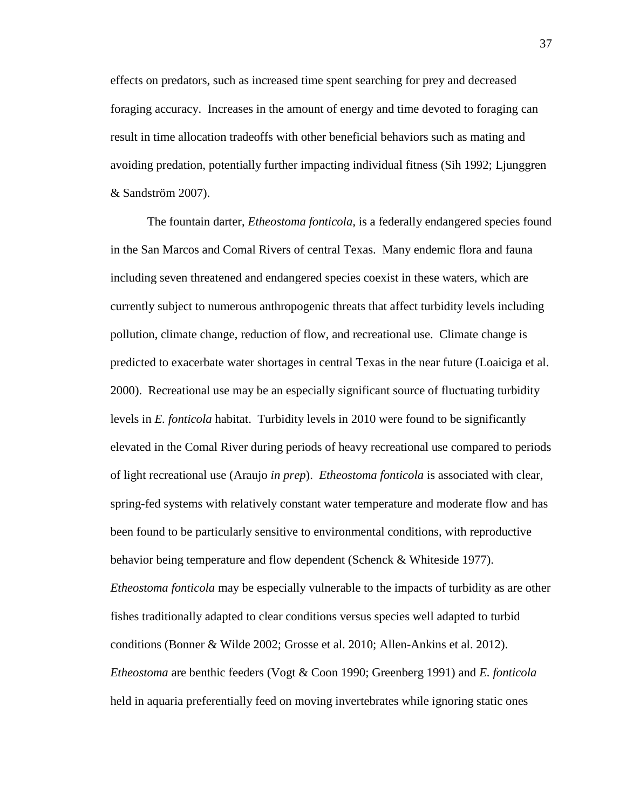effects on predators, such as increased time spent searching for prey and decreased foraging accuracy. Increases in the amount of energy and time devoted to foraging can result in time allocation tradeoffs with other beneficial behaviors such as mating and avoiding predation, potentially further impacting individual fitness (Sih 1992; Ljunggren & Sandström 2007).

The fountain darter, *Etheostoma fonticola,* is a federally endangered species found in the San Marcos and Comal Rivers of central Texas. Many endemic flora and fauna including seven threatened and endangered species coexist in these waters, which are currently subject to numerous anthropogenic threats that affect turbidity levels including pollution, climate change, reduction of flow, and recreational use. Climate change is predicted to exacerbate water shortages in central Texas in the near future (Loaiciga et al. 2000). Recreational use may be an especially significant source of fluctuating turbidity levels in *E. fonticola* habitat. Turbidity levels in 2010 were found to be significantly elevated in the Comal River during periods of heavy recreational use compared to periods of light recreational use (Araujo *in prep*). *Etheostoma fonticola* is associated with clear, spring-fed systems with relatively constant water temperature and moderate flow and has been found to be particularly sensitive to environmental conditions, with reproductive behavior being temperature and flow dependent (Schenck & Whiteside 1977). *Etheostoma fonticola* may be especially vulnerable to the impacts of turbidity as are other fishes traditionally adapted to clear conditions versus species well adapted to turbid conditions (Bonner & Wilde 2002; Grosse et al. 2010; Allen-Ankins et al. 2012). *Etheostoma* are benthic feeders (Vogt & Coon 1990; Greenberg 1991) and *E. fonticola* held in aquaria preferentially feed on moving invertebrates while ignoring static ones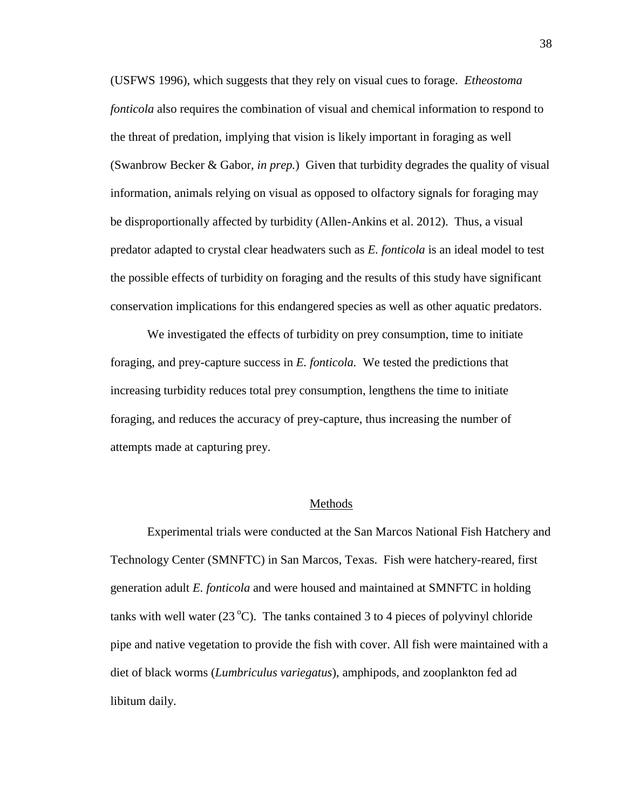(USFWS 1996), which suggests that they rely on visual cues to forage. *Etheostoma fonticola* also requires the combination of visual and chemical information to respond to the threat of predation, implying that vision is likely important in foraging as well (Swanbrow Becker & Gabor, *in prep.*) Given that turbidity degrades the quality of visual information, animals relying on visual as opposed to olfactory signals for foraging may be disproportionally affected by turbidity (Allen-Ankins et al. 2012). Thus, a visual predator adapted to crystal clear headwaters such as *E. fonticola* is an ideal model to test the possible effects of turbidity on foraging and the results of this study have significant conservation implications for this endangered species as well as other aquatic predators.

We investigated the effects of turbidity on prey consumption, time to initiate foraging, and prey-capture success in *E. fonticola.* We tested the predictions that increasing turbidity reduces total prey consumption, lengthens the time to initiate foraging, and reduces the accuracy of prey-capture, thus increasing the number of attempts made at capturing prey.

#### Methods

Experimental trials were conducted at the San Marcos National Fish Hatchery and Technology Center (SMNFTC) in San Marcos, Texas. Fish were hatchery-reared, first generation adult *E. fonticola* and were housed and maintained at SMNFTC in holding tanks with well water  $(23 \degree C)$ . The tanks contained 3 to 4 pieces of polyvinyl chloride pipe and native vegetation to provide the fish with cover. All fish were maintained with a diet of black worms (*Lumbriculus variegatus*), amphipods, and zooplankton fed ad libitum daily.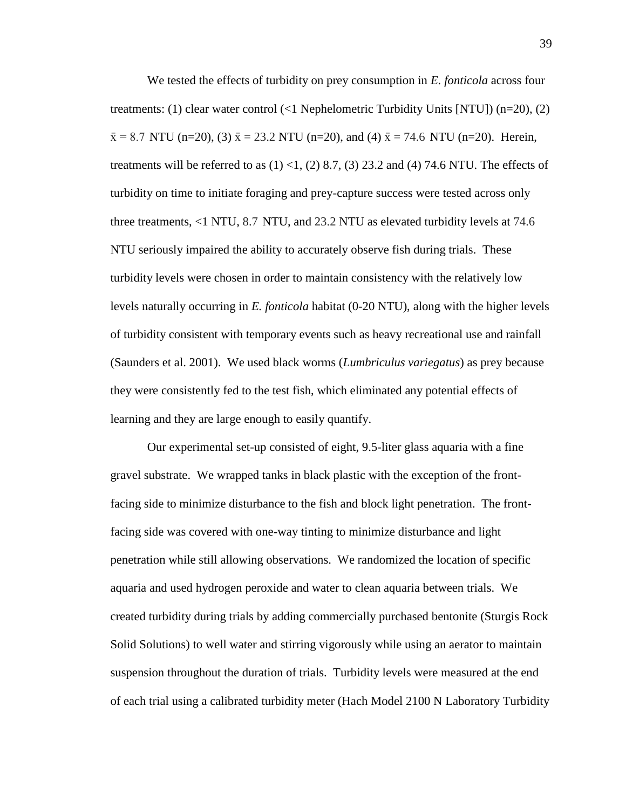We tested the effects of turbidity on prey consumption in *E. fonticola* across four treatments: (1) clear water control (<1 Nephelometric Turbidity Units [NTU]) (n=20), (2)  $\bar{x} = 8.7$  NTU (n=20), (3)  $\bar{x} = 23.2$  NTU (n=20), and (4)  $\bar{x} = 74.6$  NTU (n=20). Herein, treatments will be referred to as  $(1)$  < 1,  $(2)$  8.7,  $(3)$  23.2 and  $(4)$  74.6 NTU. The effects of turbidity on time to initiate foraging and prey-capture success were tested across only three treatments, <1 NTU, 8.7 NTU, and 23.2 NTU as elevated turbidity levels at 74.6 NTU seriously impaired the ability to accurately observe fish during trials. These turbidity levels were chosen in order to maintain consistency with the relatively low levels naturally occurring in *E. fonticola* habitat (0-20 NTU), along with the higher levels of turbidity consistent with temporary events such as heavy recreational use and rainfall (Saunders et al. 2001). We used black worms (*Lumbriculus variegatus*) as prey because they were consistently fed to the test fish, which eliminated any potential effects of learning and they are large enough to easily quantify.

Our experimental set-up consisted of eight, 9.5-liter glass aquaria with a fine gravel substrate. We wrapped tanks in black plastic with the exception of the frontfacing side to minimize disturbance to the fish and block light penetration. The frontfacing side was covered with one-way tinting to minimize disturbance and light penetration while still allowing observations. We randomized the location of specific aquaria and used hydrogen peroxide and water to clean aquaria between trials. We created turbidity during trials by adding commercially purchased bentonite (Sturgis Rock Solid Solutions) to well water and stirring vigorously while using an aerator to maintain suspension throughout the duration of trials. Turbidity levels were measured at the end of each trial using a calibrated turbidity meter (Hach Model 2100 N Laboratory Turbidity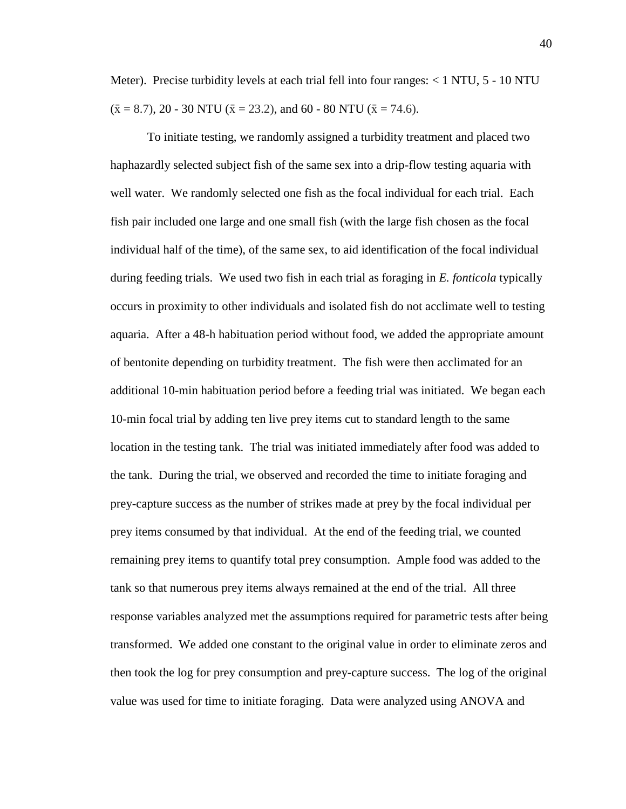Meter). Precise turbidity levels at each trial fell into four ranges:  $< 1$  NTU,  $5 - 10$  NTU  $(\bar{x} = 8.7), 20 - 30$  NTU ( $\bar{x} = 23.2$ ), and 60 - 80 NTU ( $\bar{x} = 74.6$ ).

To initiate testing, we randomly assigned a turbidity treatment and placed two haphazardly selected subject fish of the same sex into a drip-flow testing aquaria with well water. We randomly selected one fish as the focal individual for each trial. Each fish pair included one large and one small fish (with the large fish chosen as the focal individual half of the time), of the same sex, to aid identification of the focal individual during feeding trials. We used two fish in each trial as foraging in *E. fonticola* typically occurs in proximity to other individuals and isolated fish do not acclimate well to testing aquaria. After a 48-h habituation period without food, we added the appropriate amount of bentonite depending on turbidity treatment. The fish were then acclimated for an additional 10-min habituation period before a feeding trial was initiated. We began each 10-min focal trial by adding ten live prey items cut to standard length to the same location in the testing tank. The trial was initiated immediately after food was added to the tank. During the trial, we observed and recorded the time to initiate foraging and prey-capture success as the number of strikes made at prey by the focal individual per prey items consumed by that individual. At the end of the feeding trial, we counted remaining prey items to quantify total prey consumption. Ample food was added to the tank so that numerous prey items always remained at the end of the trial. All three response variables analyzed met the assumptions required for parametric tests after being transformed. We added one constant to the original value in order to eliminate zeros and then took the log for prey consumption and prey-capture success. The log of the original value was used for time to initiate foraging. Data were analyzed using ANOVA and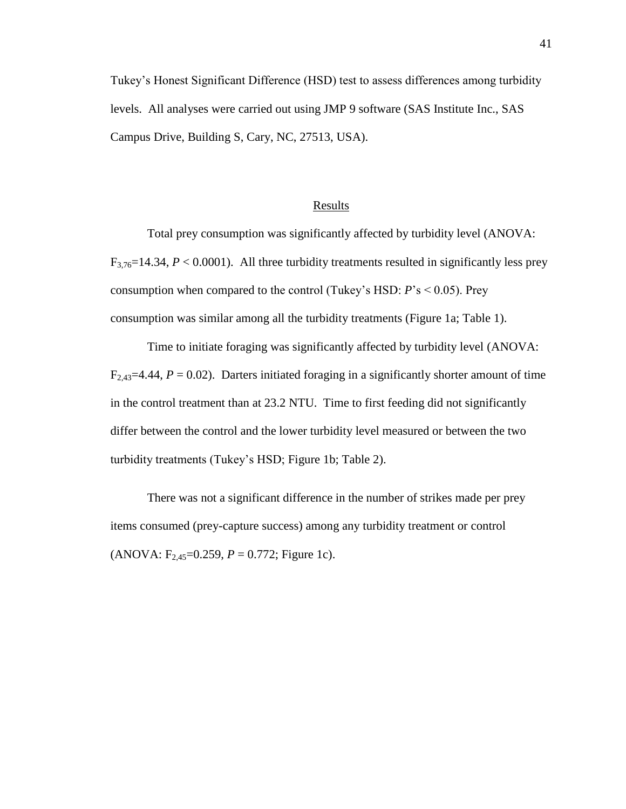Tukey's Honest Significant Difference (HSD) test to assess differences among turbidity levels. All analyses were carried out using JMP 9 software (SAS Institute Inc., SAS Campus Drive, Building S, Cary, NC, 27513, USA).

#### **Results**

Total prey consumption was significantly affected by turbidity level (ANOVA:  $F_{3,76}=14.34, P<0.0001$ ). All three turbidity treatments resulted in significantly less prey consumption when compared to the control (Tukey's HSD: *P*'s < 0.05). Prey consumption was similar among all the turbidity treatments (Figure 1a; Table 1).

Time to initiate foraging was significantly affected by turbidity level (ANOVA:  $F_{2,43}=4.44$ ,  $P=0.02$ ). Darters initiated foraging in a significantly shorter amount of time in the control treatment than at 23.2 NTU. Time to first feeding did not significantly differ between the control and the lower turbidity level measured or between the two turbidity treatments (Tukey's HSD; Figure 1b; Table 2).

There was not a significant difference in the number of strikes made per prey items consumed (prey-capture success) among any turbidity treatment or control (ANOVA:  $F_{2,45}$ =0.259, *P* = 0.772; Figure 1c).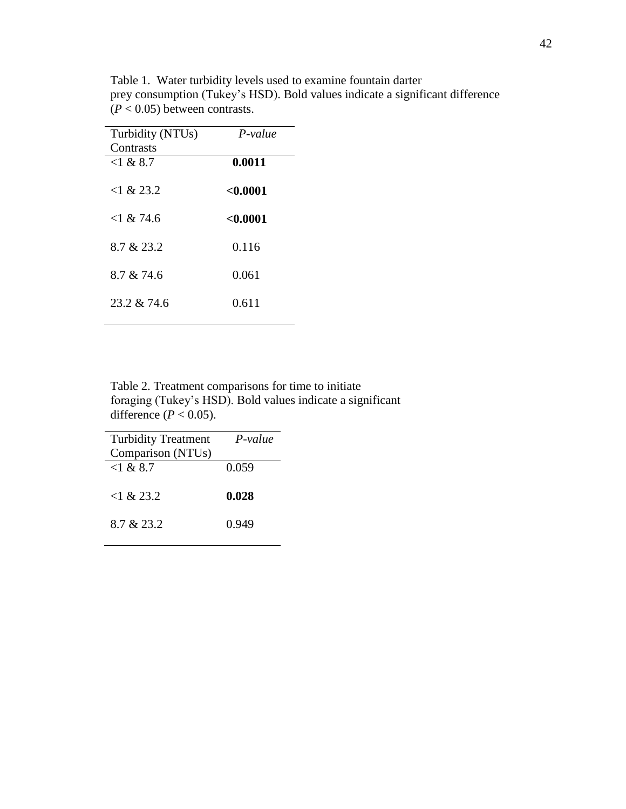| Turbidity (NTUs)<br>Contrasts | $P-value$ |
|-------------------------------|-----------|
| $<$ 1 & 8.7                   | 0.0011    |
| $<$ 1 & 23.2                  | < 0.0001  |
| $<$ 1 & 74.6                  | < 0.0001  |
| 8.7 & 23.2                    | 0.116     |
| 8.7 & 74.6                    | 0.061     |
| 23.2 & 74.6                   | 0.611     |

Table 1. Water turbidity levels used to examine fountain darter prey consumption (Tukey's HSD). Bold values indicate a significant difference  $(P < 0.05)$  between contrasts.

Table 2. Treatment comparisons for time to initiate foraging (Tukey's HSD). Bold values indicate a significant difference ( $P < 0.05$ ).

| <b>Turbidity Treatment</b><br>Comparison (NTUs) | P-value |
|-------------------------------------------------|---------|
| $<$ 1 & 8.7                                     | 0.059   |
| <1 & 23.2                                       | 0.028   |
| 8.7 & 23.2                                      | 0.949   |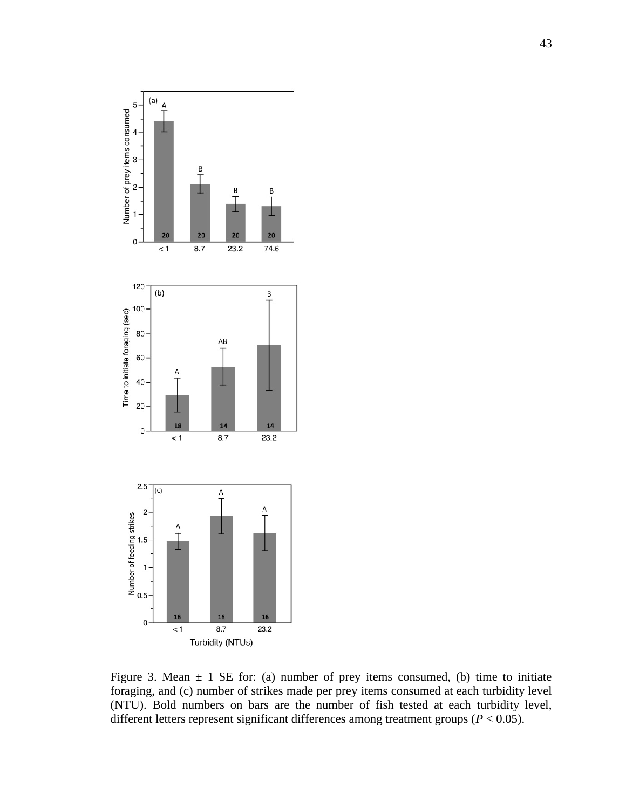

Figure 3. Mean  $\pm$  1 SE for: (a) number of prey items consumed, (b) time to initiate foraging, and (c) number of strikes made per prey items consumed at each turbidity level (NTU). Bold numbers on bars are the number of fish tested at each turbidity level, different letters represent significant differences among treatment groups (*P* < 0.05).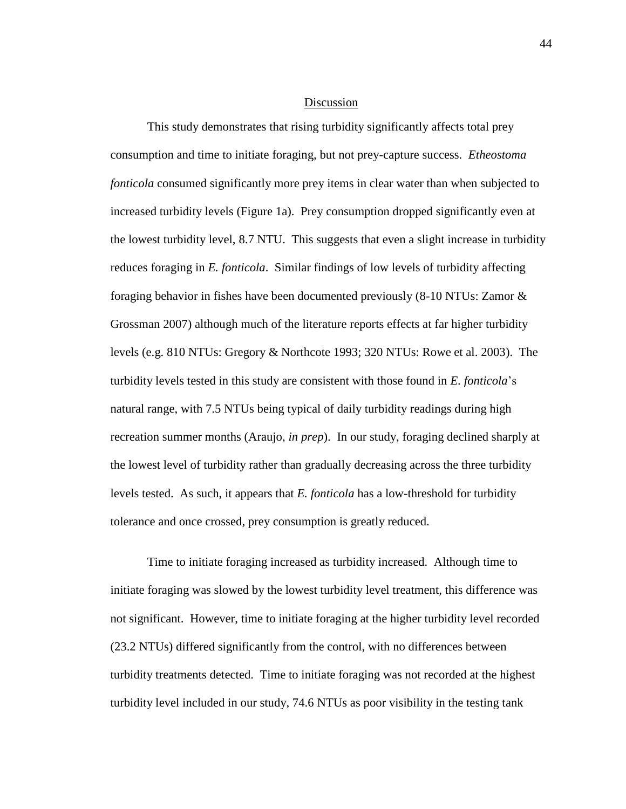#### Discussion

This study demonstrates that rising turbidity significantly affects total prey consumption and time to initiate foraging, but not prey-capture success. *Etheostoma fonticola* consumed significantly more prey items in clear water than when subjected to increased turbidity levels (Figure 1a). Prey consumption dropped significantly even at the lowest turbidity level, 8.7 NTU. This suggests that even a slight increase in turbidity reduces foraging in *E. fonticola*. Similar findings of low levels of turbidity affecting foraging behavior in fishes have been documented previously (8-10 NTUs: Zamor & Grossman 2007) although much of the literature reports effects at far higher turbidity levels (e.g. 810 NTUs: Gregory & Northcote 1993; 320 NTUs: Rowe et al. 2003). The turbidity levels tested in this study are consistent with those found in *E. fonticola*'s natural range, with 7.5 NTUs being typical of daily turbidity readings during high recreation summer months (Araujo, *in prep*). In our study, foraging declined sharply at the lowest level of turbidity rather than gradually decreasing across the three turbidity levels tested. As such, it appears that *E. fonticola* has a low-threshold for turbidity tolerance and once crossed, prey consumption is greatly reduced.

Time to initiate foraging increased as turbidity increased. Although time to initiate foraging was slowed by the lowest turbidity level treatment, this difference was not significant. However, time to initiate foraging at the higher turbidity level recorded (23.2 NTUs) differed significantly from the control, with no differences between turbidity treatments detected. Time to initiate foraging was not recorded at the highest turbidity level included in our study, 74.6 NTUs as poor visibility in the testing tank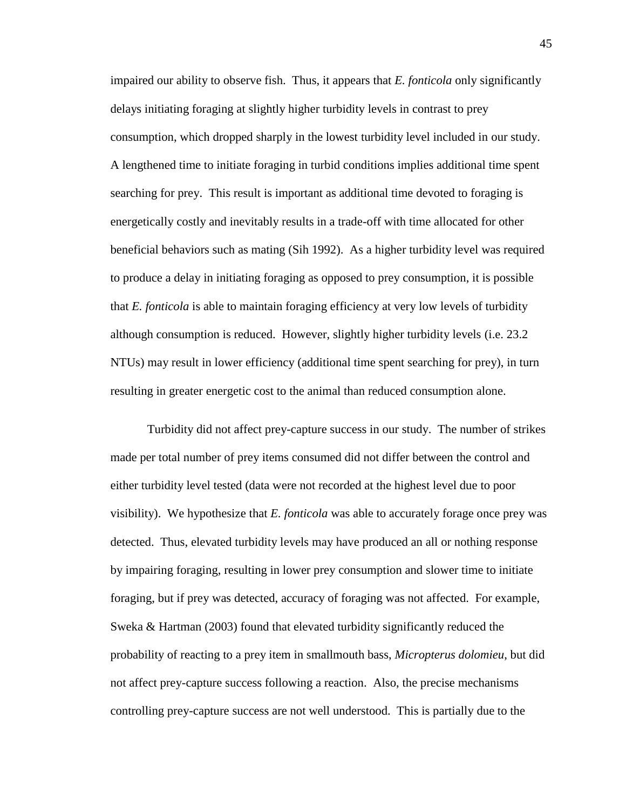impaired our ability to observe fish. Thus, it appears that *E. fonticola* only significantly delays initiating foraging at slightly higher turbidity levels in contrast to prey consumption, which dropped sharply in the lowest turbidity level included in our study. A lengthened time to initiate foraging in turbid conditions implies additional time spent searching for prey. This result is important as additional time devoted to foraging is energetically costly and inevitably results in a trade-off with time allocated for other beneficial behaviors such as mating (Sih 1992). As a higher turbidity level was required to produce a delay in initiating foraging as opposed to prey consumption, it is possible that *E. fonticola* is able to maintain foraging efficiency at very low levels of turbidity although consumption is reduced. However, slightly higher turbidity levels (i.e. 23.2 NTUs) may result in lower efficiency (additional time spent searching for prey), in turn resulting in greater energetic cost to the animal than reduced consumption alone.

Turbidity did not affect prey-capture success in our study. The number of strikes made per total number of prey items consumed did not differ between the control and either turbidity level tested (data were not recorded at the highest level due to poor visibility). We hypothesize that *E. fonticola* was able to accurately forage once prey was detected. Thus, elevated turbidity levels may have produced an all or nothing response by impairing foraging, resulting in lower prey consumption and slower time to initiate foraging, but if prey was detected, accuracy of foraging was not affected. For example, Sweka & Hartman (2003) found that elevated turbidity significantly reduced the probability of reacting to a prey item in smallmouth bass, *Micropterus dolomieu*, but did not affect prey-capture success following a reaction. Also, the precise mechanisms controlling prey-capture success are not well understood. This is partially due to the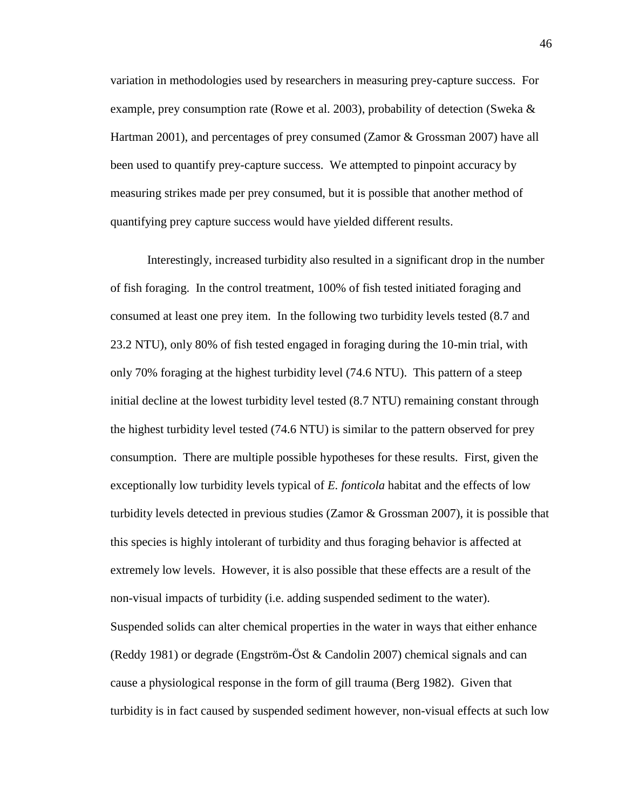variation in methodologies used by researchers in measuring prey-capture success. For example, prey consumption rate (Rowe et al. 2003), probability of detection (Sweka & Hartman 2001), and percentages of prey consumed (Zamor & Grossman 2007) have all been used to quantify prey-capture success. We attempted to pinpoint accuracy by measuring strikes made per prey consumed, but it is possible that another method of quantifying prey capture success would have yielded different results.

Interestingly, increased turbidity also resulted in a significant drop in the number of fish foraging. In the control treatment, 100% of fish tested initiated foraging and consumed at least one prey item. In the following two turbidity levels tested (8.7 and 23.2 NTU), only 80% of fish tested engaged in foraging during the 10-min trial, with only 70% foraging at the highest turbidity level (74.6 NTU). This pattern of a steep initial decline at the lowest turbidity level tested (8.7 NTU) remaining constant through the highest turbidity level tested (74.6 NTU) is similar to the pattern observed for prey consumption. There are multiple possible hypotheses for these results. First, given the exceptionally low turbidity levels typical of *E. fonticola* habitat and the effects of low turbidity levels detected in previous studies (Zamor  $\&$  Grossman 2007), it is possible that this species is highly intolerant of turbidity and thus foraging behavior is affected at extremely low levels. However, it is also possible that these effects are a result of the non-visual impacts of turbidity (i.e. adding suspended sediment to the water). Suspended solids can alter chemical properties in the water in ways that either enhance (Reddy 1981) or degrade (Engström-Öst & Candolin 2007) chemical signals and can cause a physiological response in the form of gill trauma (Berg 1982). Given that turbidity is in fact caused by suspended sediment however, non-visual effects at such low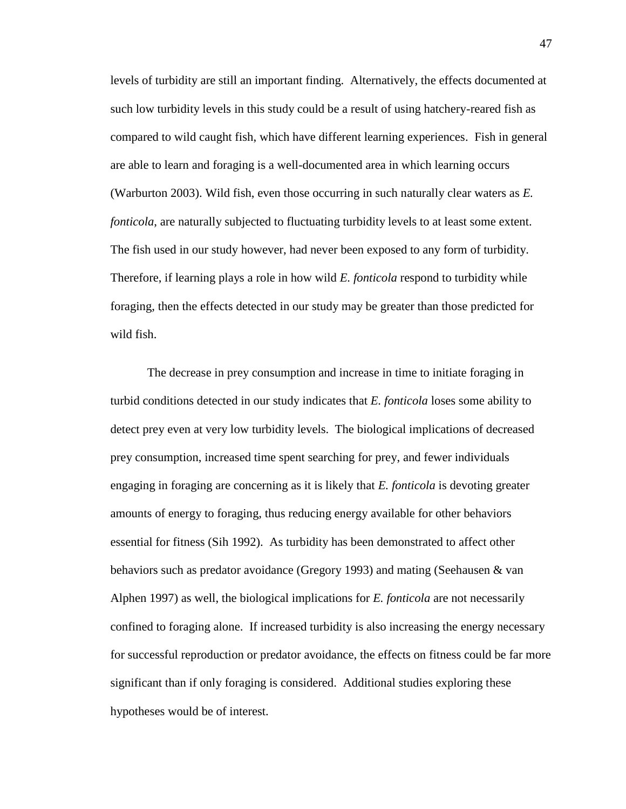levels of turbidity are still an important finding. Alternatively, the effects documented at such low turbidity levels in this study could be a result of using hatchery-reared fish as compared to wild caught fish, which have different learning experiences. Fish in general are able to learn and foraging is a well-documented area in which learning occurs (Warburton 2003). Wild fish, even those occurring in such naturally clear waters as *E. fonticola*, are naturally subjected to fluctuating turbidity levels to at least some extent. The fish used in our study however, had never been exposed to any form of turbidity. Therefore, if learning plays a role in how wild *E. fonticola* respond to turbidity while foraging, then the effects detected in our study may be greater than those predicted for wild fish.

The decrease in prey consumption and increase in time to initiate foraging in turbid conditions detected in our study indicates that *E. fonticola* loses some ability to detect prey even at very low turbidity levels. The biological implications of decreased prey consumption, increased time spent searching for prey, and fewer individuals engaging in foraging are concerning as it is likely that *E. fonticola* is devoting greater amounts of energy to foraging, thus reducing energy available for other behaviors essential for fitness (Sih 1992). As turbidity has been demonstrated to affect other behaviors such as predator avoidance (Gregory 1993) and mating (Seehausen & van Alphen 1997) as well, the biological implications for *E. fonticola* are not necessarily confined to foraging alone. If increased turbidity is also increasing the energy necessary for successful reproduction or predator avoidance, the effects on fitness could be far more significant than if only foraging is considered. Additional studies exploring these hypotheses would be of interest.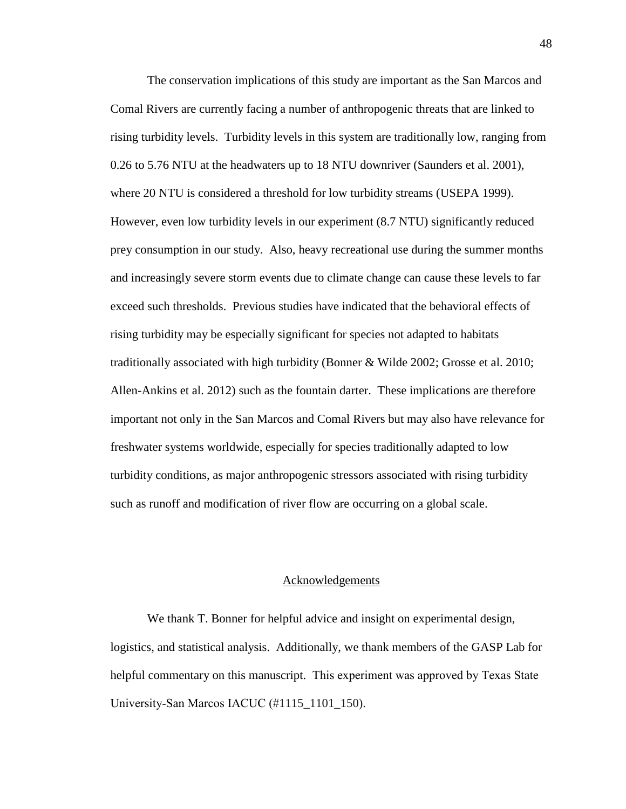The conservation implications of this study are important as the San Marcos and Comal Rivers are currently facing a number of anthropogenic threats that are linked to rising turbidity levels. Turbidity levels in this system are traditionally low, ranging from 0.26 to 5.76 NTU at the headwaters up to 18 NTU downriver (Saunders et al. 2001), where 20 NTU is considered a threshold for low turbidity streams (USEPA 1999). However, even low turbidity levels in our experiment (8.7 NTU) significantly reduced prey consumption in our study. Also, heavy recreational use during the summer months and increasingly severe storm events due to climate change can cause these levels to far exceed such thresholds. Previous studies have indicated that the behavioral effects of rising turbidity may be especially significant for species not adapted to habitats traditionally associated with high turbidity (Bonner & Wilde 2002; Grosse et al. 2010; Allen-Ankins et al. 2012) such as the fountain darter. These implications are therefore important not only in the San Marcos and Comal Rivers but may also have relevance for freshwater systems worldwide, especially for species traditionally adapted to low turbidity conditions, as major anthropogenic stressors associated with rising turbidity such as runoff and modification of river flow are occurring on a global scale.

#### Acknowledgements

We thank T. Bonner for helpful advice and insight on experimental design, logistics, and statistical analysis. Additionally, we thank members of the GASP Lab for helpful commentary on this manuscript. This experiment was approved by Texas State University-San Marcos IACUC (#1115\_1101\_150).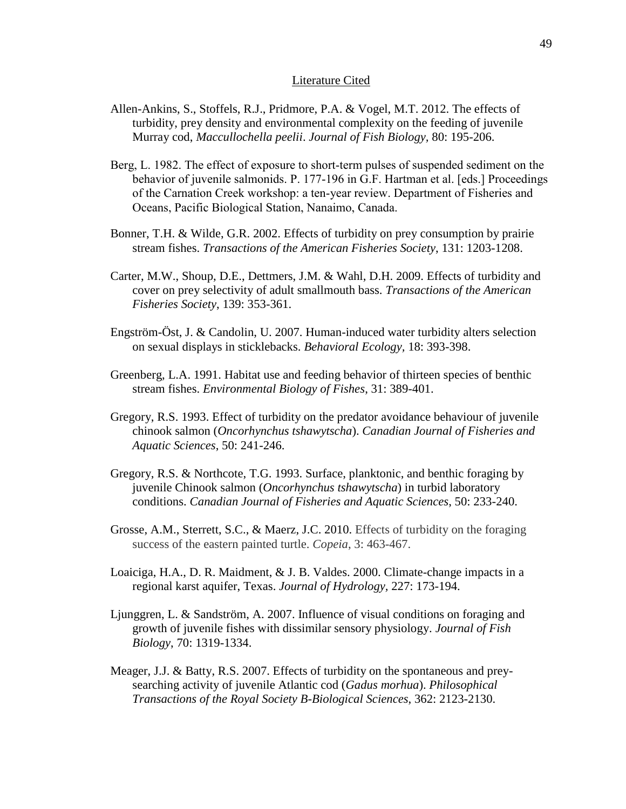#### Literature Cited

- Allen-Ankins, S., Stoffels, R.J., Pridmore, P.A. & Vogel, M.T. 2012. The effects of turbidity, prey density and environmental complexity on the feeding of juvenile Murray cod, *Maccullochella peelii*. *Journal of Fish Biology,* 80: 195-206.
- Berg, L. 1982. The effect of exposure to short-term pulses of suspended sediment on the behavior of juvenile salmonids. P. 177-196 in G.F. Hartman et al. [eds.] Proceedings of the Carnation Creek workshop: a ten-year review. Department of Fisheries and Oceans, Pacific Biological Station, Nanaimo, Canada.
- Bonner, T.H. & Wilde, G.R. 2002. Effects of turbidity on prey consumption by prairie stream fishes. *Transactions of the American Fisheries Society*, 131: 1203-1208.
- Carter, M.W., Shoup, D.E., Dettmers, J.M. & Wahl, D.H. 2009. Effects of turbidity and cover on prey selectivity of adult smallmouth bass. *Transactions of the American Fisheries Society*, 139: 353-361.
- Engström-Öst, J. & Candolin, U. 2007. Human-induced water turbidity alters selection on sexual displays in sticklebacks. *Behavioral Ecology,* 18: 393-398.
- Greenberg, L.A. 1991. Habitat use and feeding behavior of thirteen species of benthic stream fishes. *Environmental Biology of Fishes*, 31: 389-401.
- Gregory, R.S. 1993. Effect of turbidity on the predator avoidance behaviour of juvenile chinook salmon (*Oncorhynchus tshawytscha*). *Canadian Journal of Fisheries and Aquatic Sciences*, 50: 241-246.
- Gregory, R.S. & Northcote, T.G. 1993. Surface, planktonic, and benthic foraging by juvenile Chinook salmon (*Oncorhynchus tshawytscha*) in turbid laboratory conditions. *Canadian Journal of Fisheries and Aquatic Sciences*, 50: 233-240.
- Grosse, A.M., Sterrett, S.C., & Maerz, J.C. 2010. Effects of turbidity on the foraging success of the eastern painted turtle. *Copeia*, 3: 463-467.
- Loaiciga, H.A., D. R. Maidment, & J. B. Valdes. 2000. Climate-change impacts in a regional karst aquifer, Texas. *Journal of Hydrology,* 227: 173-194.
- Ljunggren, L. & Sandström, A. 2007. Influence of visual conditions on foraging and growth of juvenile fishes with dissimilar sensory physiology. *Journal of Fish Biology*, 70: 1319-1334.
- Meager, J.J. & Batty, R.S. 2007. Effects of turbidity on the spontaneous and preysearching activity of juvenile Atlantic cod (*Gadus morhua*). *Philosophical Transactions of the Royal Society B-Biological Sciences*, 362: 2123-2130.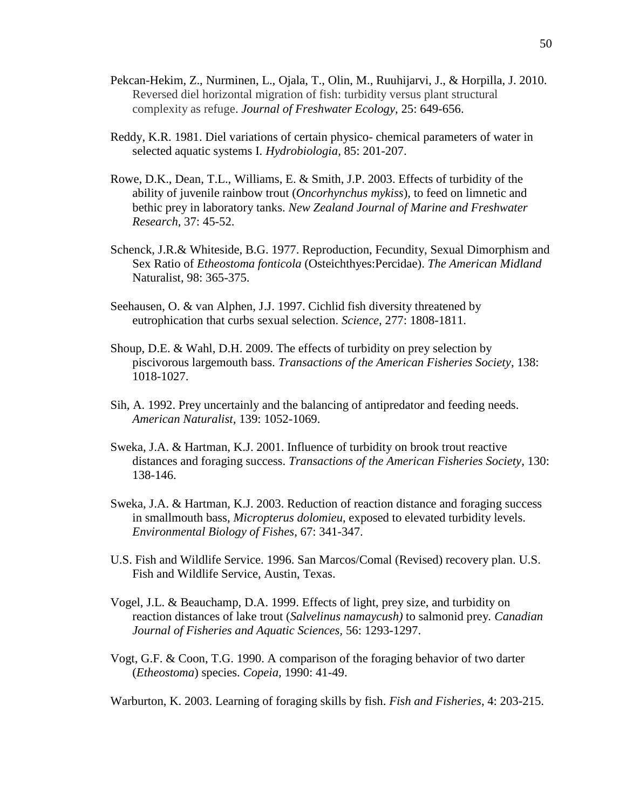- Pekcan-Hekim, Z., Nurminen, L., Ojala, T., Olin, M., Ruuhijarvi, J., & Horpilla, J. 2010. Reversed diel horizontal migration of fish: turbidity versus plant structural complexity as refuge. *Journal of Freshwater Ecology*, 25: 649-656.
- Reddy, K.R. 1981. Diel variations of certain physico- chemical parameters of water in selected aquatic systems I. *Hydrobiologia*, 85: 201-207.
- Rowe, D.K., Dean, T.L., Williams, E. & Smith, J.P. 2003. Effects of turbidity of the ability of juvenile rainbow trout (*Oncorhynchus mykiss*), to feed on limnetic and bethic prey in laboratory tanks. *New Zealand Journal of Marine and Freshwater Research*, 37: 45-52.
- Schenck, J.R.& Whiteside, B.G. 1977. Reproduction, Fecundity, Sexual Dimorphism and Sex Ratio of *Etheostoma fonticola* (Osteichthyes:Percidae). *The American Midland*  Naturalist, 98: 365-375.
- Seehausen, O. & van Alphen, J.J. 1997. Cichlid fish diversity threatened by eutrophication that curbs sexual selection. *Science*, 277: 1808-1811.
- Shoup, D.E. & Wahl, D.H. 2009. The effects of turbidity on prey selection by piscivorous largemouth bass. *Transactions of the American Fisheries Society*, 138: 1018-1027.
- Sih, A. 1992. Prey uncertainly and the balancing of antipredator and feeding needs. *American Naturalist*, 139: 1052-1069.
- Sweka, J.A. & Hartman, K.J. 2001. Influence of turbidity on brook trout reactive distances and foraging success. *Transactions of the American Fisheries Society*, 130: 138-146.
- Sweka, J.A. & Hartman, K.J. 2003. Reduction of reaction distance and foraging success in smallmouth bass, *Micropterus dolomieu*, exposed to elevated turbidity levels. *Environmental Biology of Fishes*, 67: 341-347.
- U.S. Fish and Wildlife Service. 1996. San Marcos/Comal (Revised) recovery plan. U.S. Fish and Wildlife Service, Austin, Texas.
- Vogel, J.L. & Beauchamp, D.A. 1999. Effects of light, prey size, and turbidity on reaction distances of lake trout (*Salvelinus namaycush)* to salmonid prey*. Canadian Journal of Fisheries and Aquatic Sciences,* 56: 1293-1297.
- Vogt, G.F. & Coon, T.G. 1990. A comparison of the foraging behavior of two darter (*Etheostoma*) species. *Copeia,* 1990: 41-49.

Warburton, K. 2003. Learning of foraging skills by fish. *Fish and Fisheries*, 4: 203-215.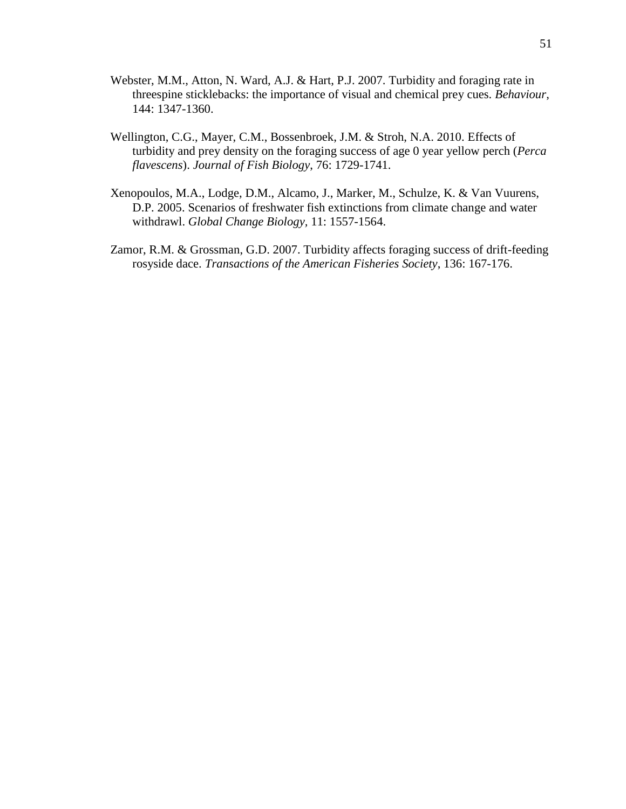- Webster, M.M., Atton, N. Ward, A.J. & Hart, P.J. 2007. Turbidity and foraging rate in threespine sticklebacks: the importance of visual and chemical prey cues. *Behaviour*, 144: 1347-1360.
- Wellington, C.G., Mayer, C.M., Bossenbroek, J.M. & Stroh, N.A. 2010. Effects of turbidity and prey density on the foraging success of age 0 year yellow perch (*Perca flavescens*). *Journal of Fish Biology*, 76: 1729-1741.
- Xenopoulos, M.A., Lodge, D.M., Alcamo, J., Marker, M., Schulze, K. & Van Vuurens, D.P. 2005. Scenarios of freshwater fish extinctions from climate change and water withdrawl. *Global Change Biology,* 11: 1557-1564.
- Zamor, R.M. & Grossman, G.D. 2007. Turbidity affects foraging success of drift-feeding rosyside dace. *Transactions of the American Fisheries Society*, 136: 167-176.